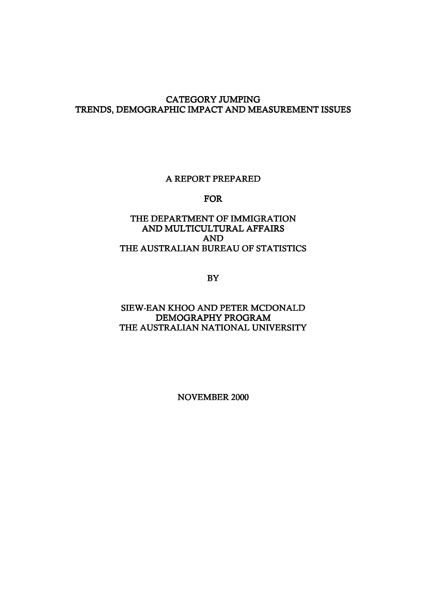## CATEGORY JUMPING TRENDS, DEMOGRAPHIC IMPACT AND MEASUREMENT ISSUES

#### A REPORT PREPARED

#### FOR

# THE DEPARTMENT OF IMMIGRATION AND MULTICULTURAL AFFAIRS AND THE AUSTRALIAN BUREAU OF STATISTICS

BY

#### SIEW-EAN KHOO AND PETER MCDONALD DEMOGRAPHY PROGRAM THE AUSTRALIAN NATIONAL UNIVERSITY

NOVEMBER 2000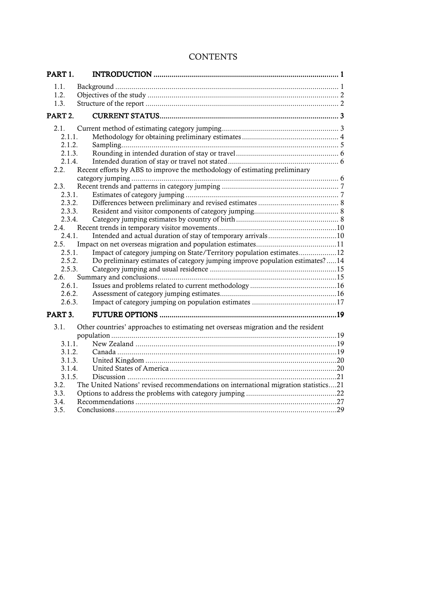# **CONTENTS**

| PART <sub>1</sub> . |                                                                                     |  |
|---------------------|-------------------------------------------------------------------------------------|--|
| 1.1.                |                                                                                     |  |
| 1.2.                |                                                                                     |  |
| 1.3.                |                                                                                     |  |
| PART <sub>2.</sub>  |                                                                                     |  |
| 2.1.                |                                                                                     |  |
| 2.1.1.              |                                                                                     |  |
| 2.1.2.              |                                                                                     |  |
| 2.1.3.              |                                                                                     |  |
| 2.1.4.              |                                                                                     |  |
| 2.2                 | Recent efforts by ABS to improve the methodology of estimating preliminary          |  |
|                     |                                                                                     |  |
| 2.3.                |                                                                                     |  |
| 2.3.1.              |                                                                                     |  |
| 2.3.2.              |                                                                                     |  |
| 2.3.3.              |                                                                                     |  |
| 2.3.4.              |                                                                                     |  |
| 2.4.<br>2.4.1.      |                                                                                     |  |
|                     |                                                                                     |  |
| 2.5.<br>2.5.1.      | Impact of category jumping on State/Territory population estimates12                |  |
| 2.5.2.              | Do preliminary estimates of category jumping improve population estimates?14        |  |
| 2.5.3.              |                                                                                     |  |
| 2.6.                |                                                                                     |  |
| 2.6.1.              |                                                                                     |  |
| 2.6.2.              |                                                                                     |  |
| 2.6.3.              |                                                                                     |  |
| PART 3.             |                                                                                     |  |
|                     |                                                                                     |  |
| 3.1.                | Other countries' approaches to estimating net overseas migration and the resident   |  |
|                     |                                                                                     |  |
| 3.1.1.              |                                                                                     |  |
| 3.1.2.              |                                                                                     |  |
| 3.1.3.              |                                                                                     |  |
| 3.1.4.              |                                                                                     |  |
| 3.1.5.              |                                                                                     |  |
| 3.2.                | The United Nations' revised recommendations on international migration statistics21 |  |
| 3.3.                |                                                                                     |  |
| 3.4.                |                                                                                     |  |
| 3.5.                |                                                                                     |  |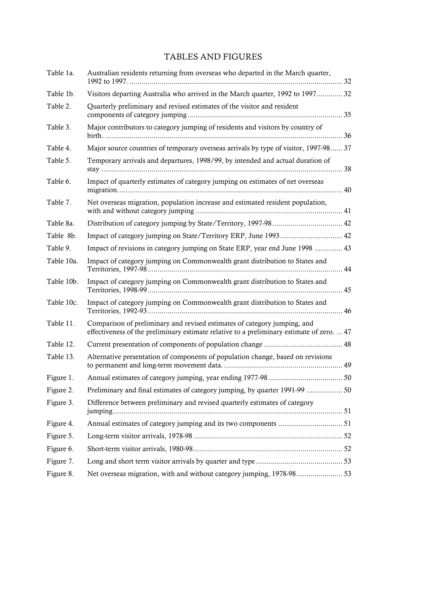# TABLES AND FIGURES

| Table 1a.  | Australian residents returning from overseas who departed in the March quarter,                                                                                       |  |
|------------|-----------------------------------------------------------------------------------------------------------------------------------------------------------------------|--|
| Table 1b.  | Visitors departing Australia who arrived in the March quarter, 1992 to 1997 32                                                                                        |  |
| Table 2.   | Quarterly preliminary and revised estimates of the visitor and resident                                                                                               |  |
| Table 3.   | Major contributors to category jumping of residents and visitors by country of                                                                                        |  |
| Table 4.   | Major source countries of temporary overseas arrivals by type of visitor, 1997-98 37                                                                                  |  |
| Table 5.   | Temporary arrivals and departures, 1998/99, by intended and actual duration of                                                                                        |  |
| Table 6.   | Impact of quarterly estimates of category jumping on estimates of net overseas                                                                                        |  |
| Table 7.   | Net overseas migration, population increase and estimated resident population,                                                                                        |  |
| Table 8a.  |                                                                                                                                                                       |  |
| Table 8b.  |                                                                                                                                                                       |  |
| Table 9.   | Impact of revisions in category jumping on State ERP, year end June 1998  43                                                                                          |  |
| Table 10a. | Impact of category jumping on Commonwealth grant distribution to States and                                                                                           |  |
| Table 10b. | Impact of category jumping on Commonwealth grant distribution to States and                                                                                           |  |
| Table 10c. | Impact of category jumping on Commonwealth grant distribution to States and                                                                                           |  |
| Table 11.  | Comparison of preliminary and revised estimates of category jumping, and<br>effectiveness of the preliminary estimate relative to a preliminary estimate of zero.  47 |  |
| Table 12.  |                                                                                                                                                                       |  |
| Table 13.  | Alternative presentation of components of population change, based on revisions                                                                                       |  |
| Figure 1.  |                                                                                                                                                                       |  |
| Figure 2.  | Preliminary and final estimates of category jumping, by quarter 1991-99  50                                                                                           |  |
| Figure 3.  | Difference between preliminary and revised quarterly estimates of category                                                                                            |  |
| Figure 4.  |                                                                                                                                                                       |  |
| Figure 5.  |                                                                                                                                                                       |  |
| Figure 6.  |                                                                                                                                                                       |  |
| Figure 7.  |                                                                                                                                                                       |  |
| Figure 8.  | Net overseas migration, with and without category jumping, 1978-9853                                                                                                  |  |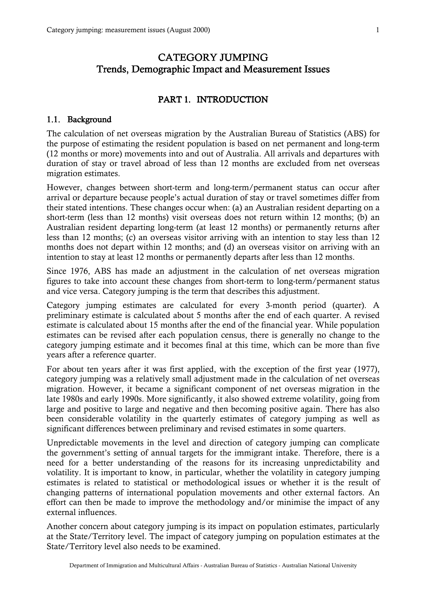# <span id="page-3-0"></span>CATEGORY JUMPING Trends, Demographic Impact and Measurement Issues

# PART 1. INTRODUCTION

#### 1.1. Background

The calculation of net overseas migration by the Australian Bureau of Statistics (ABS) for the purpose of estimating the resident population is based on net permanent and long-term (12 months or more) movements into and out of Australia. All arrivals and departures with duration of stay or travel abroad of less than 12 months are excluded from net overseas migration estimates.

However, changes between short-term and long-term/permanent status can occur after arrival or departure because people's actual duration of stay or travel sometimes differ from their stated intentions. These changes occur when: (a) an Australian resident departing on a short-term (less than 12 months) visit overseas does not return within 12 months; (b) an Australian resident departing long-term (at least 12 months) or permanently returns after less than 12 months; (c) an overseas visitor arriving with an intention to stay less than 12 months does not depart within 12 months; and (d) an overseas visitor on arriving with an intention to stay at least 12 months or permanently departs after less than 12 months.

Since 1976, ABS has made an adjustment in the calculation of net overseas migration figures to take into account these changes from short-term to long-term/permanent status and vice versa. Category jumping is the term that describes this adjustment.

Category jumping estimates are calculated for every 3-month period (quarter). A preliminary estimate is calculated about 5 months after the end of each quarter. A revised estimate is calculated about 15 months after the end of the financial year. While population estimates can be revised after each population census, there is generally no change to the category jumping estimate and it becomes final at this time, which can be more than five years after a reference quarter.

For about ten years after it was first applied, with the exception of the first year (1977), category jumping was a relatively small adjustment made in the calculation of net overseas migration. However, it became a significant component of net overseas migration in the late 1980s and early 1990s. More significantly, it also showed extreme volatility, going from large and positive to large and negative and then becoming positive again. There has also been considerable volatility in the quarterly estimates of category jumping as well as significant differences between preliminary and revised estimates in some quarters.

Unpredictable movements in the level and direction of category jumping can complicate the government's setting of annual targets for the immigrant intake. Therefore, there is a need for a better understanding of the reasons for its increasing unpredictability and volatility. It is important to know, in particular, whether the volatility in category jumping estimates is related to statistical or methodological issues or whether it is the result of changing patterns of international population movements and other external factors. An effort can then be made to improve the methodology and/or minimise the impact of any external influences.

Another concern about category jumping is its impact on population estimates, particularly at the State/Territory level. The impact of category jumping on population estimates at the State/Territory level also needs to be examined.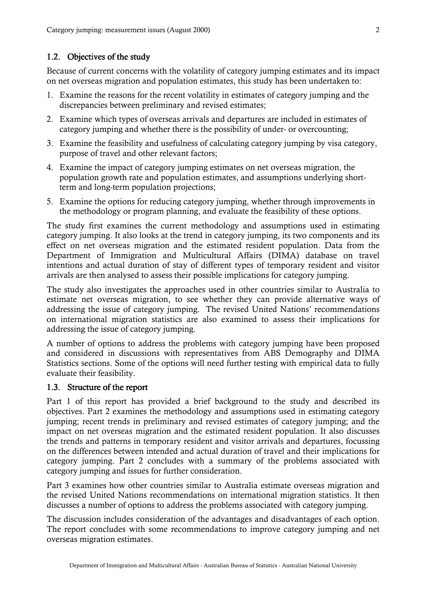# <span id="page-4-0"></span>1.2. Objectives of the study

Because of current concerns with the volatility of category jumping estimates and its impact on net overseas migration and population estimates, this study has been undertaken to:

- 1. Examine the reasons for the recent volatility in estimates of category jumping and the discrepancies between preliminary and revised estimates;
- 2. Examine which types of overseas arrivals and departures are included in estimates of category jumping and whether there is the possibility of under- or overcounting;
- 3. Examine the feasibility and usefulness of calculating category jumping by visa category, purpose of travel and other relevant factors;
- 4. Examine the impact of category jumping estimates on net overseas migration, the population growth rate and population estimates, and assumptions underlying shortterm and long-term population projections;
- 5. Examine the options for reducing category jumping, whether through improvements in the methodology or program planning, and evaluate the feasibility of these options.

The study first examines the current methodology and assumptions used in estimating category jumping. It also looks at the trend in category jumping, its two components and its effect on net overseas migration and the estimated resident population. Data from the Department of Immigration and Multicultural Affairs (DIMA) database on travel intentions and actual duration of stay of different types of temporary resident and visitor arrivals are then analysed to assess their possible implications for category jumping.

The study also investigates the approaches used in other countries similar to Australia to estimate net overseas migration, to see whether they can provide alternative ways of addressing the issue of category jumping. The revised United Nations' recommendations on international migration statistics are also examined to assess their implications for addressing the issue of category jumping.

A number of options to address the problems with category jumping have been proposed and considered in discussions with representatives from ABS Demography and DIMA Statistics sections. Some of the options will need further testing with empirical data to fully evaluate their feasibility.

# 1.3. Structure of the report

Part 1 of this report has provided a brief background to the study and described its objectives. Part 2 examines the methodology and assumptions used in estimating category jumping; recent trends in preliminary and revised estimates of category jumping; and the impact on net overseas migration and the estimated resident population. It also discusses the trends and patterns in temporary resident and visitor arrivals and departures, focussing on the differences between intended and actual duration of travel and their implications for category jumping. Part 2 concludes with a summary of the problems associated with category jumping and issues for further consideration.

Part 3 examines how other countries similar to Australia estimate overseas migration and the revised United Nations recommendations on international migration statistics. It then discusses a number of options to address the problems associated with category jumping.

The discussion includes consideration of the advantages and disadvantages of each option. The report concludes with some recommendations to improve category jumping and net overseas migration estimates.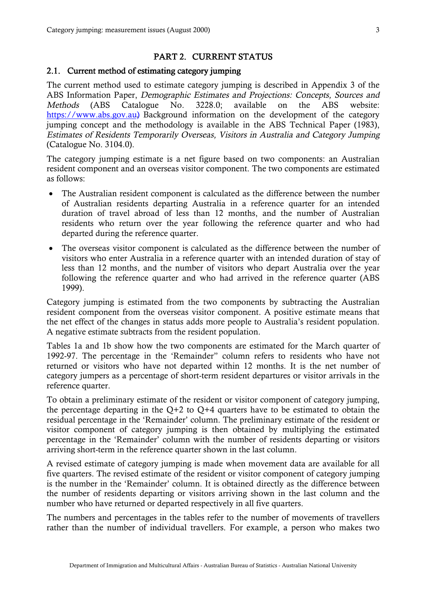#### PART 2. CURRENT STATUS

# <span id="page-5-0"></span>2.1. Current method of estimating category jumping

The current method used to estimate category jumping is described in Appendix 3 of the ABS Information Paper, Demographic Estimates and Projections: Concepts, Sources and Methods (ABS Catalogue No. 3228.0; available on the ABS website: https://www.abs.gov.au) Background information on the development of the category jumping concept and the methodology is available in the ABS Technical Paper (1983), Estimates of Residents Temporarily Overseas, Visitors in Australia and Category Jumping (Catalogue No. 3104.0).

The category jumping estimate is a net figure based on two components: an Australian resident component and an overseas visitor component. The two components are estimated as follows:

- ! The Australian resident component is calculated as the difference between the number of Australian residents departing Australia in a reference quarter for an intended duration of travel abroad of less than 12 months, and the number of Australian residents who return over the year following the reference quarter and who had departed during the reference quarter.
- The overseas visitor component is calculated as the difference between the number of visitors who enter Australia in a reference quarter with an intended duration of stay of less than 12 months, and the number of visitors who depart Australia over the year following the reference quarter and who had arrived in the reference quarter (ABS 1999).

Category jumping is estimated from the two components by subtracting the Australian resident component from the overseas visitor component. A positive estimate means that the net effect of the changes in status adds more people to Australia's resident population. A negative estimate subtracts from the resident population.

Tables 1a and 1b show how the two components are estimated for the March quarter of 1992-97. The percentage in the 'Remainder" column refers to residents who have not returned or visitors who have not departed within 12 months. It is the net number of category jumpers as a percentage of short-term resident departures or visitor arrivals in the reference quarter.

To obtain a preliminary estimate of the resident or visitor component of category jumping, the percentage departing in the  $Q+2$  to  $Q+4$  quarters have to be estimated to obtain the residual percentage in the 'Remainder' column. The preliminary estimate of the resident or visitor component of category jumping is then obtained by multiplying the estimated percentage in the 'Remainder' column with the number of residents departing or visitors arriving short-term in the reference quarter shown in the last column.

A revised estimate of category jumping is made when movement data are available for all five quarters. The revised estimate of the resident or visitor component of category jumping is the number in the 'Remainder' column. It is obtained directly as the difference between the number of residents departing or visitors arriving shown in the last column and the number who have returned or departed respectively in all five quarters.

The numbers and percentages in the tables refer to the number of movements of travellers rather than the number of individual travellers. For example, a person who makes two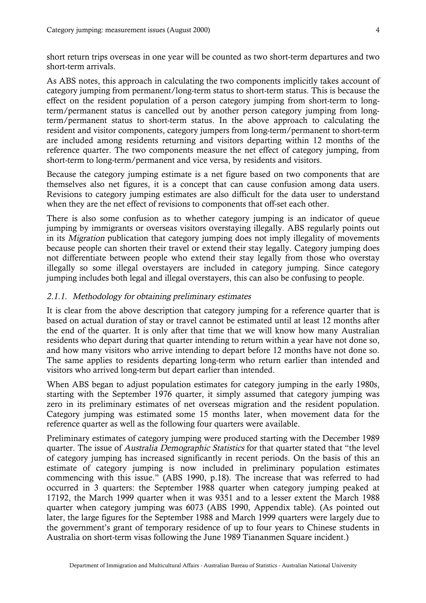<span id="page-6-0"></span>short return trips overseas in one year will be counted as two short-term departures and two short-term arrivals.

As ABS notes, this approach in calculating the two components implicitly takes account of category jumping from permanent/long-term status to short-term status. This is because the effect on the resident population of a person category jumping from short-term to longterm/permanent status is cancelled out by another person category jumping from longterm/permanent status to short-term status. In the above approach to calculating the resident and visitor components, category jumpers from long-term/permanent to short-term are included among residents returning and visitors departing within 12 months of the reference quarter. The two components measure the net effect of category jumping, from short-term to long-term/permanent and vice versa, by residents and visitors.

Because the category jumping estimate is a net figure based on two components that are themselves also net figures, it is a concept that can cause confusion among data users. Revisions to category jumping estimates are also difficult for the data user to understand when they are the net effect of revisions to components that off-set each other.

There is also some confusion as to whether category jumping is an indicator of queue jumping by immigrants or overseas visitors overstaying illegally. ABS regularly points out in its Migration publication that category jumping does not imply illegality of movements because people can shorten their travel or extend their stay legally. Category jumping does not differentiate between people who extend their stay legally from those who overstay illegally so some illegal overstayers are included in category jumping. Since category jumping includes both legal and illegal overstayers, this can also be confusing to people.

#### 2.1.1. Methodology for obtaining preliminary estimates

It is clear from the above description that category jumping for a reference quarter that is based on actual duration of stay or travel cannot be estimated until at least 12 months after the end of the quarter. It is only after that time that we will know how many Australian residents who depart during that quarter intending to return within a year have not done so, and how many visitors who arrive intending to depart before 12 months have not done so. The same applies to residents departing long-term who return earlier than intended and visitors who arrived long-term but depart earlier than intended.

When ABS began to adjust population estimates for category jumping in the early 1980s, starting with the September 1976 quarter, it simply assumed that category jumping was zero in its preliminary estimates of net overseas migration and the resident population. Category jumping was estimated some 15 months later, when movement data for the reference quarter as well as the following four quarters were available.

Preliminary estimates of category jumping were produced starting with the December 1989 quarter. The issue of Australia Demographic Statistics for that quarter stated that "the level of category jumping has increased significantly in recent periods. On the basis of this an estimate of category jumping is now included in preliminary population estimates commencing with this issue." (ABS 1990, p.18). The increase that was referred to had occurred in 3 quarters: the September 1988 quarter when category jumping peaked at 17192, the March 1999 quarter when it was 9351 and to a lesser extent the March 1988 quarter when category jumping was 6073 (ABS 1990, Appendix table). (As pointed out later, the large figures for the September 1988 and March 1999 quarters were largely due to the government's grant of temporary residence of up to four years to Chinese students in Australia on short-term visas following the June 1989 Tiananmen Square incident.)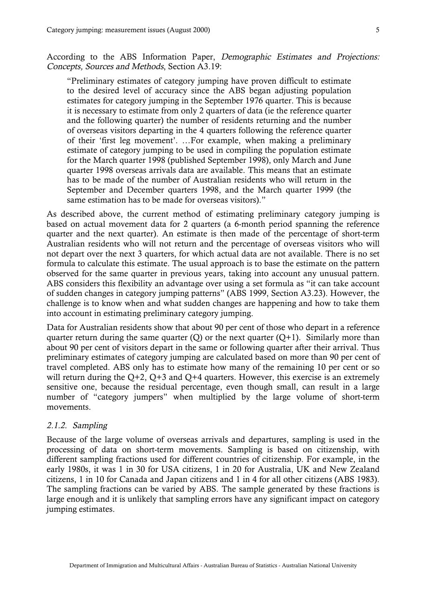<span id="page-7-0"></span>According to the ABS Information Paper, Demographic Estimates and Projections: Concepts, Sources and Methods, Section A3.19:

"Preliminary estimates of category jumping have proven difficult to estimate to the desired level of accuracy since the ABS began adjusting population estimates for category jumping in the September 1976 quarter. This is because it is necessary to estimate from only 2 quarters of data (ie the reference quarter and the following quarter) the number of residents returning and the number of overseas visitors departing in the 4 quarters following the reference quarter of their 'first leg movement'. …For example, when making a preliminary estimate of category jumping to be used in compiling the population estimate for the March quarter 1998 (published September 1998), only March and June quarter 1998 overseas arrivals data are available. This means that an estimate has to be made of the number of Australian residents who will return in the September and December quarters 1998, and the March quarter 1999 (the same estimation has to be made for overseas visitors)."

As described above, the current method of estimating preliminary category jumping is based on actual movement data for 2 quarters (a 6-month period spanning the reference quarter and the next quarter). An estimate is then made of the percentage of short-term Australian residents who will not return and the percentage of overseas visitors who will not depart over the next 3 quarters, for which actual data are not available. There is no set formula to calculate this estimate. The usual approach is to base the estimate on the pattern observed for the same quarter in previous years, taking into account any unusual pattern. ABS considers this flexibility an advantage over using a set formula as "it can take account of sudden changes in category jumping patterns" (ABS 1999, Section A3.23). However, the challenge is to know when and what sudden changes are happening and how to take them into account in estimating preliminary category jumping.

Data for Australian residents show that about 90 per cent of those who depart in a reference quarter return during the same quarter  $(Q)$  or the next quarter  $(Q+1)$ . Similarly more than about 90 per cent of visitors depart in the same or following quarter after their arrival. Thus preliminary estimates of category jumping are calculated based on more than 90 per cent of travel completed. ABS only has to estimate how many of the remaining 10 per cent or so will return during the  $Q+2$ ,  $Q+3$  and  $Q+4$  quarters. However, this exercise is an extremely sensitive one, because the residual percentage, even though small, can result in a large number of "category jumpers" when multiplied by the large volume of short-term movements.

#### 2.1.2. Sampling

Because of the large volume of overseas arrivals and departures, sampling is used in the processing of data on short-term movements. Sampling is based on citizenship, with different sampling fractions used for different countries of citizenship. For example, in the early 1980s, it was 1 in 30 for USA citizens, 1 in 20 for Australia, UK and New Zealand citizens, 1 in 10 for Canada and Japan citizens and 1 in 4 for all other citizens (ABS 1983). The sampling fractions can be varied by ABS. The sample generated by these fractions is large enough and it is unlikely that sampling errors have any significant impact on category jumping estimates.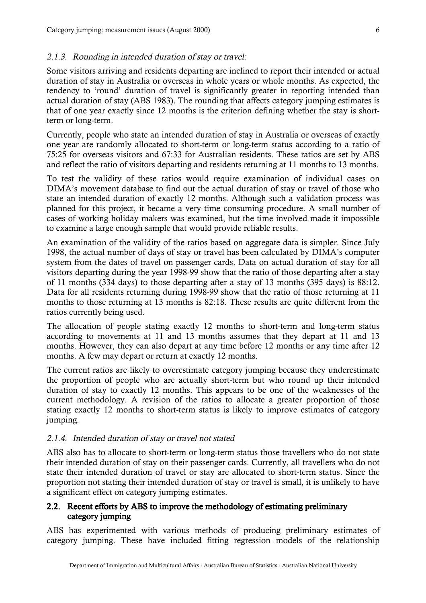#### <span id="page-8-0"></span>2.1.3. Rounding in intended duration of stay or travel:

Some visitors arriving and residents departing are inclined to report their intended or actual duration of stay in Australia or overseas in whole years or whole months. As expected, the tendency to 'round' duration of travel is significantly greater in reporting intended than actual duration of stay (ABS 1983). The rounding that affects category jumping estimates is that of one year exactly since 12 months is the criterion defining whether the stay is shortterm or long-term.

Currently, people who state an intended duration of stay in Australia or overseas of exactly one year are randomly allocated to short-term or long-term status according to a ratio of 75:25 for overseas visitors and 67:33 for Australian residents. These ratios are set by ABS and reflect the ratio of visitors departing and residents returning at 11 months to 13 months.

To test the validity of these ratios would require examination of individual cases on DIMA's movement database to find out the actual duration of stay or travel of those who state an intended duration of exactly 12 months. Although such a validation process was planned for this project, it became a very time consuming procedure. A small number of cases of working holiday makers was examined, but the time involved made it impossible to examine a large enough sample that would provide reliable results.

An examination of the validity of the ratios based on aggregate data is simpler. Since July 1998, the actual number of days of stay or travel has been calculated by DIMA's computer system from the dates of travel on passenger cards. Data on actual duration of stay for all visitors departing during the year 1998-99 show that the ratio of those departing after a stay of 11 months (334 days) to those departing after a stay of 13 months (395 days) is 88:12. Data for all residents returning during 1998-99 show that the ratio of those returning at 11 months to those returning at 13 months is 82:18. These results are quite different from the ratios currently being used.

The allocation of people stating exactly 12 months to short-term and long-term status according to movements at 11 and 13 months assumes that they depart at 11 and 13 months. However, they can also depart at any time before 12 months or any time after 12 months. A few may depart or return at exactly 12 months.

The current ratios are likely to overestimate category jumping because they underestimate the proportion of people who are actually short-term but who round up their intended duration of stay to exactly 12 months. This appears to be one of the weaknesses of the current methodology. A revision of the ratios to allocate a greater proportion of those stating exactly 12 months to short-term status is likely to improve estimates of category jumping.

#### 2.1.4. Intended duration of stay or travel not stated

ABS also has to allocate to short-term or long-term status those travellers who do not state their intended duration of stay on their passenger cards. Currently, all travellers who do not state their intended duration of travel or stay are allocated to short-term status. Since the proportion not stating their intended duration of stay or travel is small, it is unlikely to have a significant effect on category jumping estimates.

## 2.2. Recent efforts by ABS to improve the methodology of estimating preliminary category jumping

ABS has experimented with various methods of producing preliminary estimates of category jumping. These have included fitting regression models of the relationship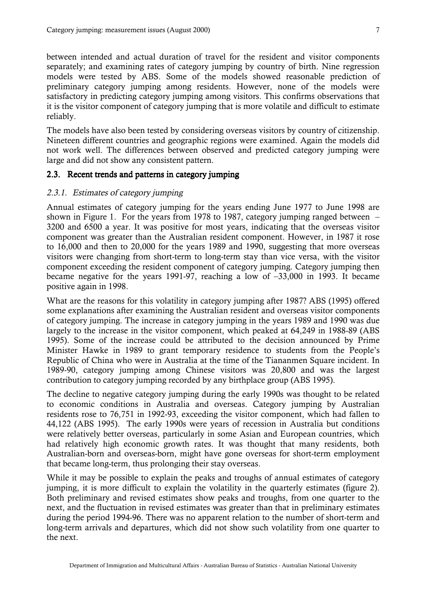<span id="page-9-0"></span>between intended and actual duration of travel for the resident and visitor components separately; and examining rates of category jumping by country of birth. Nine regression models were tested by ABS. Some of the models showed reasonable prediction of preliminary category jumping among residents. However, none of the models were satisfactory in predicting category jumping among visitors. This confirms observations that it is the visitor component of category jumping that is more volatile and difficult to estimate reliably.

The models have also been tested by considering overseas visitors by country of citizenship. Nineteen different countries and geographic regions were examined. Again the models did not work well. The differences between observed and predicted category jumping were large and did not show any consistent pattern.

#### 2.3. Recent trends and patterns in category jumping

#### 2.3.1. Estimates of category jumping

Annual estimates of category jumping for the years ending June 1977 to June 1998 are shown in Figure 1. For the years from 1978 to 1987, category jumping ranged between – 3200 and 6500 a year. It was positive for most years, indicating that the overseas visitor component was greater than the Australian resident component. However, in 1987 it rose to 16,000 and then to 20,000 for the years 1989 and 1990, suggesting that more overseas visitors were changing from short-term to long-term stay than vice versa, with the visitor component exceeding the resident component of category jumping. Category jumping then became negative for the years 1991-97, reaching a low of –33,000 in 1993. It became positive again in 1998.

What are the reasons for this volatility in category jumping after 1987? ABS (1995) offered some explanations after examining the Australian resident and overseas visitor components of category jumping. The increase in category jumping in the years 1989 and 1990 was due largely to the increase in the visitor component, which peaked at 64,249 in 1988-89 (ABS 1995). Some of the increase could be attributed to the decision announced by Prime Minister Hawke in 1989 to grant temporary residence to students from the People's Republic of China who were in Australia at the time of the Tiananmen Square incident. In 1989-90, category jumping among Chinese visitors was 20,800 and was the largest contribution to category jumping recorded by any birthplace group (ABS 1995).

The decline to negative category jumping during the early 1990s was thought to be related to economic conditions in Australia and overseas. Category jumping by Australian residents rose to 76,751 in 1992-93, exceeding the visitor component, which had fallen to 44,122 (ABS 1995). The early 1990s were years of recession in Australia but conditions were relatively better overseas, particularly in some Asian and European countries, which had relatively high economic growth rates. It was thought that many residents, both Australian-born and overseas-born, might have gone overseas for short-term employment that became long-term, thus prolonging their stay overseas.

While it may be possible to explain the peaks and troughs of annual estimates of category jumping, it is more difficult to explain the volatility in the quarterly estimates (figure 2). Both preliminary and revised estimates show peaks and troughs, from one quarter to the next, and the fluctuation in revised estimates was greater than that in preliminary estimates during the period 1994-96. There was no apparent relation to the number of short-term and long-term arrivals and departures, which did not show such volatility from one quarter to the next.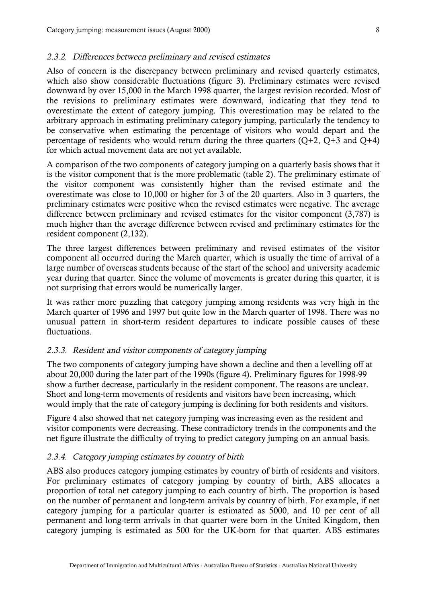#### <span id="page-10-0"></span>2.3.2. Differences between preliminary and revised estimates

Also of concern is the discrepancy between preliminary and revised quarterly estimates, which also show considerable fluctuations (figure 3). Preliminary estimates were revised downward by over 15,000 in the March 1998 quarter, the largest revision recorded. Most of the revisions to preliminary estimates were downward, indicating that they tend to overestimate the extent of category jumping. This overestimation may be related to the arbitrary approach in estimating preliminary category jumping, particularly the tendency to be conservative when estimating the percentage of visitors who would depart and the percentage of residents who would return during the three quarters  $(Q+2, Q+3, and Q+4)$ for which actual movement data are not yet available.

A comparison of the two components of category jumping on a quarterly basis shows that it is the visitor component that is the more problematic (table 2). The preliminary estimate of the visitor component was consistently higher than the revised estimate and the overestimate was close to 10,000 or higher for 3 of the 20 quarters. Also in 3 quarters, the preliminary estimates were positive when the revised estimates were negative. The average difference between preliminary and revised estimates for the visitor component (3,787) is much higher than the average difference between revised and preliminary estimates for the resident component (2,132).

The three largest differences between preliminary and revised estimates of the visitor component all occurred during the March quarter, which is usually the time of arrival of a large number of overseas students because of the start of the school and university academic year during that quarter. Since the volume of movements is greater during this quarter, it is not surprising that errors would be numerically larger.

It was rather more puzzling that category jumping among residents was very high in the March quarter of 1996 and 1997 but quite low in the March quarter of 1998. There was no unusual pattern in short-term resident departures to indicate possible causes of these fluctuations.

#### 2.3.3. Resident and visitor components of category jumping

The two components of category jumping have shown a decline and then a levelling off at about 20,000 during the later part of the 1990s (figure 4). Preliminary figures for 1998-99 show a further decrease, particularly in the resident component. The reasons are unclear. Short and long-term movements of residents and visitors have been increasing, which would imply that the rate of category jumping is declining for both residents and visitors.

Figure 4 also showed that net category jumping was increasing even as the resident and visitor components were decreasing. These contradictory trends in the components and the net figure illustrate the difficulty of trying to predict category jumping on an annual basis.

## 2.3.4. Category jumping estimates by country of birth

ABS also produces category jumping estimates by country of birth of residents and visitors. For preliminary estimates of category jumping by country of birth, ABS allocates a proportion of total net category jumping to each country of birth. The proportion is based on the number of permanent and long-term arrivals by country of birth. For example, if net category jumping for a particular quarter is estimated as 5000, and 10 per cent of all permanent and long-term arrivals in that quarter were born in the United Kingdom, then category jumping is estimated as 500 for the UK-born for that quarter. ABS estimates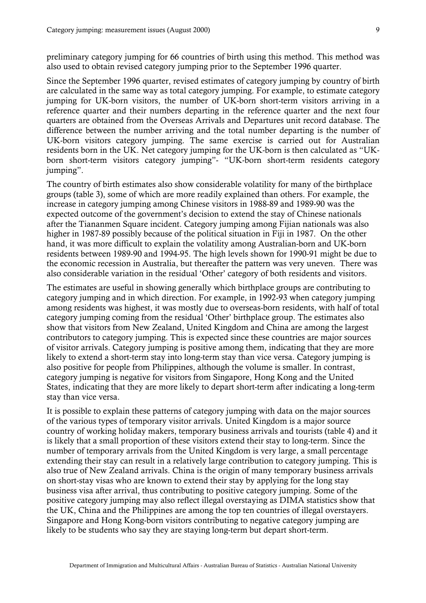preliminary category jumping for 66 countries of birth using this method. This method was also used to obtain revised category jumping prior to the September 1996 quarter.

Since the September 1996 quarter, revised estimates of category jumping by country of birth are calculated in the same way as total category jumping. For example, to estimate category jumping for UK-born visitors, the number of UK-born short-term visitors arriving in a reference quarter and their numbers departing in the reference quarter and the next four quarters are obtained from the Overseas Arrivals and Departures unit record database. The difference between the number arriving and the total number departing is the number of UK-born visitors category jumping. The same exercise is carried out for Australian residents born in the UK. Net category jumping for the UK-born is then calculated as "UKborn short-term visitors category jumping"- "UK-born short-term residents category jumping".

The country of birth estimates also show considerable volatility for many of the birthplace groups (table 3), some of which are more readily explained than others. For example, the increase in category jumping among Chinese visitors in 1988-89 and 1989-90 was the expected outcome of the government's decision to extend the stay of Chinese nationals after the Tiananmen Square incident. Category jumping among Fijian nationals was also higher in 1987-89 possibly because of the political situation in Fiji in 1987. On the other hand, it was more difficult to explain the volatility among Australian-born and UK-born residents between 1989-90 and 1994-95. The high levels shown for 1990-91 might be due to the economic recession in Australia, but thereafter the pattern was very uneven. There was also considerable variation in the residual 'Other' category of both residents and visitors.

The estimates are useful in showing generally which birthplace groups are contributing to category jumping and in which direction. For example, in 1992-93 when category jumping among residents was highest, it was mostly due to overseas-born residents, with half of total category jumping coming from the residual 'Other' birthplace group. The estimates also show that visitors from New Zealand, United Kingdom and China are among the largest contributors to category jumping. This is expected since these countries are major sources of visitor arrivals. Category jumping is positive among them, indicating that they are more likely to extend a short-term stay into long-term stay than vice versa. Category jumping is also positive for people from Philippines, although the volume is smaller. In contrast, category jumping is negative for visitors from Singapore, Hong Kong and the United States, indicating that they are more likely to depart short-term after indicating a long-term stay than vice versa.

It is possible to explain these patterns of category jumping with data on the major sources of the various types of temporary visitor arrivals. United Kingdom is a major source country of working holiday makers, temporary business arrivals and tourists (table 4) and it is likely that a small proportion of these visitors extend their stay to long-term. Since the number of temporary arrivals from the United Kingdom is very large, a small percentage extending their stay can result in a relatively large contribution to category jumping. This is also true of New Zealand arrivals. China is the origin of many temporary business arrivals on short-stay visas who are known to extend their stay by applying for the long stay business visa after arrival, thus contributing to positive category jumping. Some of the positive category jumping may also reflect illegal overstaying as DIMA statistics show that the UK, China and the Philippines are among the top ten countries of illegal overstayers. Singapore and Hong Kong-born visitors contributing to negative category jumping are likely to be students who say they are staying long-term but depart short-term.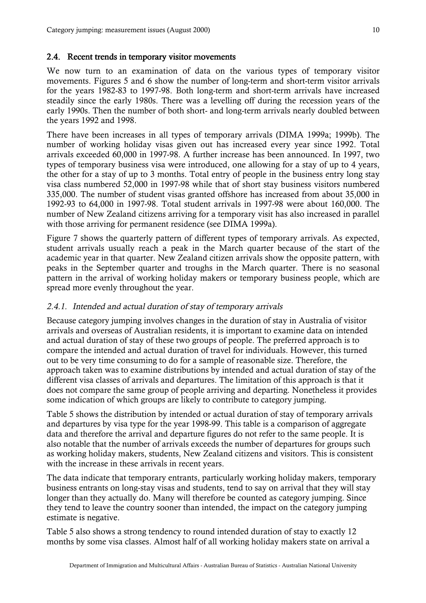#### <span id="page-12-0"></span>2.4. Recent trends in temporary visitor movements

We now turn to an examination of data on the various types of temporary visitor movements. Figures 5 and 6 show the number of long-term and short-term visitor arrivals for the years 1982-83 to 1997-98. Both long-term and short-term arrivals have increased steadily since the early 1980s. There was a levelling off during the recession years of the early 1990s. Then the number of both short- and long-term arrivals nearly doubled between the years 1992 and 1998.

There have been increases in all types of temporary arrivals (DIMA 1999a; 1999b). The number of working holiday visas given out has increased every year since 1992. Total arrivals exceeded 60,000 in 1997-98. A further increase has been announced. In 1997, two types of temporary business visa were introduced, one allowing for a stay of up to 4 years, the other for a stay of up to 3 months. Total entry of people in the business entry long stay visa class numbered 52,000 in 1997-98 while that of short stay business visitors numbered 335,000. The number of student visas granted offshore has increased from about 35,000 in 1992-93 to 64,000 in 1997-98. Total student arrivals in 1997-98 were about 160,000. The number of New Zealand citizens arriving for a temporary visit has also increased in parallel with those arriving for permanent residence (see DIMA 1999a).

Figure 7 shows the quarterly pattern of different types of temporary arrivals. As expected, student arrivals usually reach a peak in the March quarter because of the start of the academic year in that quarter. New Zealand citizen arrivals show the opposite pattern, with peaks in the September quarter and troughs in the March quarter. There is no seasonal pattern in the arrival of working holiday makers or temporary business people, which are spread more evenly throughout the year.

## 2.4.1. Intended and actual duration of stay of temporary arrivals

Because category jumping involves changes in the duration of stay in Australia of visitor arrivals and overseas of Australian residents, it is important to examine data on intended and actual duration of stay of these two groups of people. The preferred approach is to compare the intended and actual duration of travel for individuals. However, this turned out to be very time consuming to do for a sample of reasonable size. Therefore, the approach taken was to examine distributions by intended and actual duration of stay of the different visa classes of arrivals and departures. The limitation of this approach is that it does not compare the same group of people arriving and departing. Nonetheless it provides some indication of which groups are likely to contribute to category jumping.

Table 5 shows the distribution by intended or actual duration of stay of temporary arrivals and departures by visa type for the year 1998-99. This table is a comparison of aggregate data and therefore the arrival and departure figures do not refer to the same people. It is also notable that the number of arrivals exceeds the number of departures for groups such as working holiday makers, students, New Zealand citizens and visitors. This is consistent with the increase in these arrivals in recent years.

The data indicate that temporary entrants, particularly working holiday makers, temporary business entrants on long-stay visas and students, tend to say on arrival that they will stay longer than they actually do. Many will therefore be counted as category jumping. Since they tend to leave the country sooner than intended, the impact on the category jumping estimate is negative.

Table 5 also shows a strong tendency to round intended duration of stay to exactly 12 months by some visa classes. Almost half of all working holiday makers state on arrival a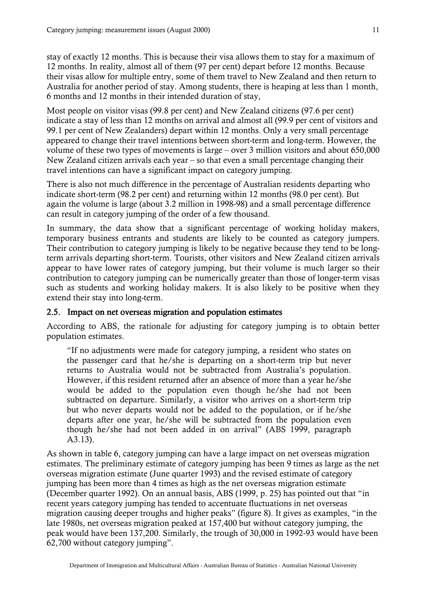<span id="page-13-0"></span>stay of exactly 12 months. This is because their visa allows them to stay for a maximum of 12 months. In reality, almost all of them (97 per cent) depart before 12 months. Because their visas allow for multiple entry, some of them travel to New Zealand and then return to Australia for another period of stay. Among students, there is heaping at less than 1 month, 6 months and 12 months in their intended duration of stay,

Most people on visitor visas (99.8 per cent) and New Zealand citizens (97.6 per cent) indicate a stay of less than 12 months on arrival and almost all (99.9 per cent of visitors and 99.1 per cent of New Zealanders) depart within 12 months. Only a very small percentage appeared to change their travel intentions between short-term and long-term. However, the volume of these two types of movements is large – over 3 million visitors and about 650,000 New Zealand citizen arrivals each year – so that even a small percentage changing their travel intentions can have a significant impact on category jumping.

There is also not much difference in the percentage of Australian residents departing who indicate short-term (98.2 per cent) and returning within 12 months (98.0 per cent). But again the volume is large (about 3.2 million in 1998-98) and a small percentage difference can result in category jumping of the order of a few thousand.

In summary, the data show that a significant percentage of working holiday makers, temporary business entrants and students are likely to be counted as category jumpers. Their contribution to category jumping is likely to be negative because they tend to be longterm arrivals departing short-term. Tourists, other visitors and New Zealand citizen arrivals appear to have lower rates of category jumping, but their volume is much larger so their contribution to category jumping can be numerically greater than those of longer-term visas such as students and working holiday makers. It is also likely to be positive when they extend their stay into long-term.

#### 2.5. Impact on net overseas migration and population estimates

According to ABS, the rationale for adjusting for category jumping is to obtain better population estimates.

"If no adjustments were made for category jumping, a resident who states on the passenger card that he/she is departing on a short-term trip but never returns to Australia would not be subtracted from Australia's population. However, if this resident returned after an absence of more than a year he/she would be added to the population even though he/she had not been subtracted on departure. Similarly, a visitor who arrives on a short-term trip but who never departs would not be added to the population, or if he/she departs after one year, he/she will be subtracted from the population even though he/she had not been added in on arrival" (ABS 1999, paragraph A3.13).

As shown in table 6, category jumping can have a large impact on net overseas migration estimates. The preliminary estimate of category jumping has been 9 times as large as the net overseas migration estimate (June quarter 1993) and the revised estimate of category jumping has been more than 4 times as high as the net overseas migration estimate (December quarter 1992). On an annual basis, ABS (1999, p. 25) has pointed out that "in recent years category jumping has tended to accentuate fluctuations in net overseas migration causing deeper troughs and higher peaks" (figure 8). It gives as examples, "in the late 1980s, net overseas migration peaked at 157,400 but without category jumping, the peak would have been 137,200. Similarly, the trough of 30,000 in 1992-93 would have been 62,700 without category jumping".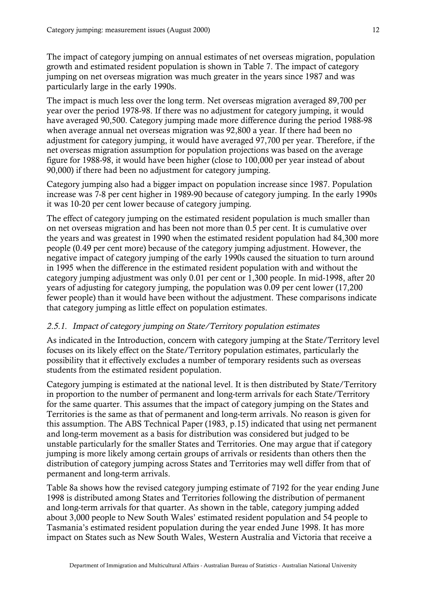<span id="page-14-0"></span>The impact of category jumping on annual estimates of net overseas migration, population growth and estimated resident population is shown in Table 7. The impact of category jumping on net overseas migration was much greater in the years since 1987 and was particularly large in the early 1990s.

The impact is much less over the long term. Net overseas migration averaged 89,700 per year over the period 1978-98. If there was no adjustment for category jumping, it would have averaged 90,500. Category jumping made more difference during the period 1988-98 when average annual net overseas migration was 92,800 a year. If there had been no adjustment for category jumping, it would have averaged 97,700 per year. Therefore, if the net overseas migration assumption for population projections was based on the average figure for 1988-98, it would have been higher (close to 100,000 per year instead of about 90,000) if there had been no adjustment for category jumping.

Category jumping also had a bigger impact on population increase since 1987. Population increase was 7-8 per cent higher in 1989-90 because of category jumping. In the early 1990s it was 10-20 per cent lower because of category jumping.

The effect of category jumping on the estimated resident population is much smaller than on net overseas migration and has been not more than 0.5 per cent. It is cumulative over the years and was greatest in 1990 when the estimated resident population had 84,300 more people (0.49 per cent more) because of the category jumping adjustment. However, the negative impact of category jumping of the early 1990s caused the situation to turn around in 1995 when the difference in the estimated resident population with and without the category jumping adjustment was only 0.01 per cent or 1,300 people. In mid-1998, after 20 years of adjusting for category jumping, the population was 0.09 per cent lower (17,200 fewer people) than it would have been without the adjustment. These comparisons indicate that category jumping as little effect on population estimates.

#### 2.5.1. Impact of category jumping on State/Territory population estimates

As indicated in the Introduction, concern with category jumping at the State/Territory level focuses on its likely effect on the State/Territory population estimates, particularly the possibility that it effectively excludes a number of temporary residents such as overseas students from the estimated resident population.

Category jumping is estimated at the national level. It is then distributed by State/Territory in proportion to the number of permanent and long-term arrivals for each State/Territory for the same quarter. This assumes that the impact of category jumping on the States and Territories is the same as that of permanent and long-term arrivals. No reason is given for this assumption. The ABS Technical Paper (1983, p.15) indicated that using net permanent and long-term movement as a basis for distribution was considered but judged to be unstable particularly for the smaller States and Territories. One may argue that if category jumping is more likely among certain groups of arrivals or residents than others then the distribution of category jumping across States and Territories may well differ from that of permanent and long-term arrivals.

Table 8a shows how the revised category jumping estimate of 7192 for the year ending June 1998 is distributed among States and Territories following the distribution of permanent and long-term arrivals for that quarter. As shown in the table, category jumping added about 3,000 people to New South Wales' estimated resident population and 54 people to Tasmania's estimated resident population during the year ended June 1998. It has more impact on States such as New South Wales, Western Australia and Victoria that receive a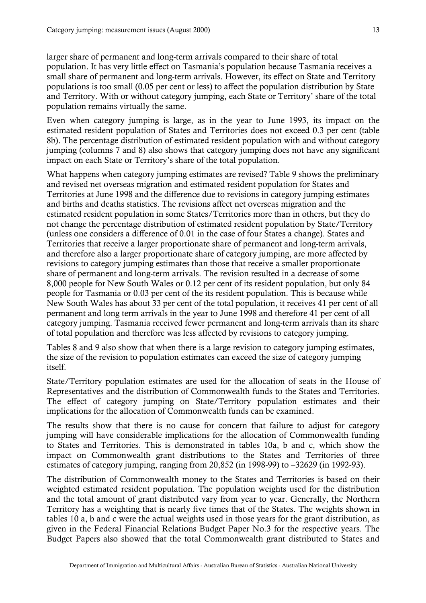larger share of permanent and long-term arrivals compared to their share of total population. It has very little effect on Tasmania's population because Tasmania receives a small share of permanent and long-term arrivals. However, its effect on State and Territory populations is too small (0.05 per cent or less) to affect the population distribution by State and Territory. With or without category jumping, each State or Territory' share of the total population remains virtually the same.

Even when category jumping is large, as in the year to June 1993, its impact on the estimated resident population of States and Territories does not exceed 0.3 per cent (table 8b). The percentage distribution of estimated resident population with and without category jumping (columns 7 and 8) also shows that category jumping does not have any significant impact on each State or Territory's share of the total population.

What happens when category jumping estimates are revised? Table 9 shows the preliminary and revised net overseas migration and estimated resident population for States and Territories at June 1998 and the difference due to revisions in category jumping estimates and births and deaths statistics. The revisions affect net overseas migration and the estimated resident population in some States/Territories more than in others, but they do not change the percentage distribution of estimated resident population by State/Territory (unless one considers a difference of 0.01 in the case of four States a change). States and Territories that receive a larger proportionate share of permanent and long-term arrivals, and therefore also a larger proportionate share of category jumping, are more affected by revisions to category jumping estimates than those that receive a smaller proportionate share of permanent and long-term arrivals. The revision resulted in a decrease of some 8,000 people for New South Wales or 0.12 per cent of its resident population, but only 84 people for Tasmania or 0.03 per cent of the its resident population. This is because while New South Wales has about 33 per cent of the total population, it receives 41 per cent of all permanent and long term arrivals in the year to June 1998 and therefore 41 per cent of all category jumping. Tasmania received fewer permanent and long-term arrivals than its share of total population and therefore was less affected by revisions to category jumping.

Tables 8 and 9 also show that when there is a large revision to category jumping estimates, the size of the revision to population estimates can exceed the size of category jumping itself.

State/Territory population estimates are used for the allocation of seats in the House of Representatives and the distribution of Commonwealth funds to the States and Territories. The effect of category jumping on State/Territory population estimates and their implications for the allocation of Commonwealth funds can be examined.

The results show that there is no cause for concern that failure to adjust for category jumping will have considerable implications for the allocation of Commonwealth funding to States and Territories. This is demonstrated in tables 10a, b and c, which show the impact on Commonwealth grant distributions to the States and Territories of three estimates of category jumping, ranging from 20,852 (in 1998-99) to –32629 (in 1992-93).

The distribution of Commonwealth money to the States and Territories is based on their weighted estimated resident population. The population weights used for the distribution and the total amount of grant distributed vary from year to year. Generally, the Northern Territory has a weighting that is nearly five times that of the States. The weights shown in tables 10 a, b and c were the actual weights used in those years for the grant distribution, as given in the Federal Financial Relations Budget Paper No.3 for the respective years. The Budget Papers also showed that the total Commonwealth grant distributed to States and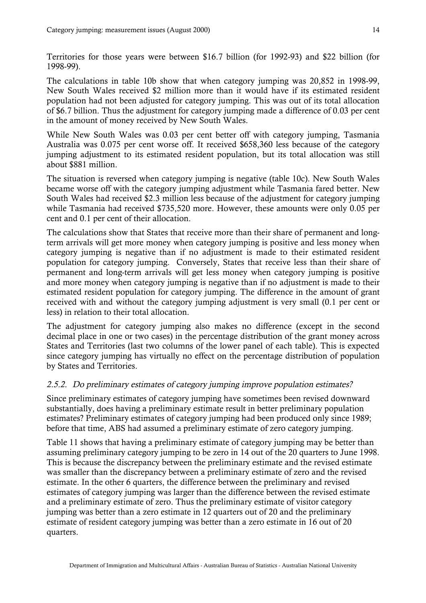<span id="page-16-0"></span>Territories for those years were between \$16.7 billion (for 1992-93) and \$22 billion (for 1998-99).

The calculations in table 10b show that when category jumping was 20,852 in 1998-99, New South Wales received \$2 million more than it would have if its estimated resident population had not been adjusted for category jumping. This was out of its total allocation of \$6.7 billion. Thus the adjustment for category jumping made a difference of 0.03 per cent in the amount of money received by New South Wales.

While New South Wales was 0.03 per cent better off with category jumping, Tasmania Australia was 0.075 per cent worse off. It received \$658,360 less because of the category jumping adjustment to its estimated resident population, but its total allocation was still about \$881 million.

The situation is reversed when category jumping is negative (table 10c). New South Wales became worse off with the category jumping adjustment while Tasmania fared better. New South Wales had received \$2.3 million less because of the adjustment for category jumping while Tasmania had received \$735,520 more. However, these amounts were only 0.05 per cent and 0.1 per cent of their allocation.

The calculations show that States that receive more than their share of permanent and longterm arrivals will get more money when category jumping is positive and less money when category jumping is negative than if no adjustment is made to their estimated resident population for category jumping. Conversely, States that receive less than their share of permanent and long-term arrivals will get less money when category jumping is positive and more money when category jumping is negative than if no adjustment is made to their estimated resident population for category jumping. The difference in the amount of grant received with and without the category jumping adjustment is very small (0.1 per cent or less) in relation to their total allocation.

The adjustment for category jumping also makes no difference (except in the second decimal place in one or two cases) in the percentage distribution of the grant money across States and Territories (last two columns of the lower panel of each table). This is expected since category jumping has virtually no effect on the percentage distribution of population by States and Territories.

#### 2.5.2. Do preliminary estimates of category jumping improve population estimates?

Since preliminary estimates of category jumping have sometimes been revised downward substantially, does having a preliminary estimate result in better preliminary population estimates? Preliminary estimates of category jumping had been produced only since 1989; before that time, ABS had assumed a preliminary estimate of zero category jumping.

Table 11 shows that having a preliminary estimate of category jumping may be better than assuming preliminary category jumping to be zero in 14 out of the 20 quarters to June 1998. This is because the discrepancy between the preliminary estimate and the revised estimate was smaller than the discrepancy between a preliminary estimate of zero and the revised estimate. In the other 6 quarters, the difference between the preliminary and revised estimates of category jumping was larger than the difference between the revised estimate and a preliminary estimate of zero. Thus the preliminary estimate of visitor category jumping was better than a zero estimate in 12 quarters out of 20 and the preliminary estimate of resident category jumping was better than a zero estimate in 16 out of 20 quarters.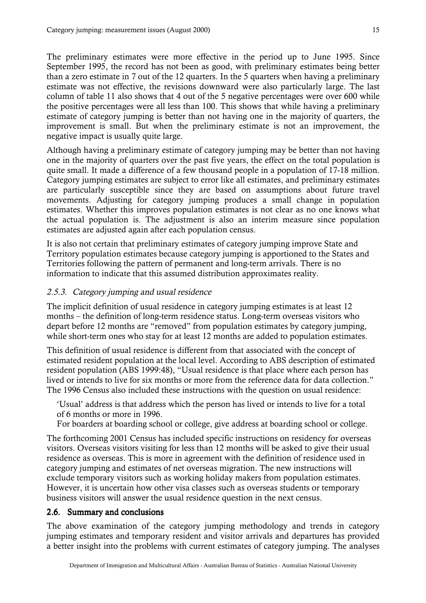<span id="page-17-0"></span>The preliminary estimates were more effective in the period up to June 1995. Since September 1995, the record has not been as good, with preliminary estimates being better than a zero estimate in 7 out of the 12 quarters. In the 5 quarters when having a preliminary estimate was not effective, the revisions downward were also particularly large. The last column of table 11 also shows that 4 out of the 5 negative percentages were over 600 while the positive percentages were all less than 100. This shows that while having a preliminary estimate of category jumping is better than not having one in the majority of quarters, the improvement is small. But when the preliminary estimate is not an improvement, the negative impact is usually quite large.

Although having a preliminary estimate of category jumping may be better than not having one in the majority of quarters over the past five years, the effect on the total population is quite small. It made a difference of a few thousand people in a population of 17-18 million. Category jumping estimates are subject to error like all estimates, and preliminary estimates are particularly susceptible since they are based on assumptions about future travel movements. Adjusting for category jumping produces a small change in population estimates. Whether this improves population estimates is not clear as no one knows what the actual population is. The adjustment is also an interim measure since population estimates are adjusted again after each population census.

It is also not certain that preliminary estimates of category jumping improve State and Territory population estimates because category jumping is apportioned to the States and Territories following the pattern of permanent and long-term arrivals. There is no information to indicate that this assumed distribution approximates reality.

## 2.5.3. Category jumping and usual residence

The implicit definition of usual residence in category jumping estimates is at least 12 months – the definition of long-term residence status. Long-term overseas visitors who depart before 12 months are "removed" from population estimates by category jumping, while short-term ones who stay for at least 12 months are added to population estimates.

This definition of usual residence is different from that associated with the concept of estimated resident population at the local level. According to ABS description of estimated resident population (ABS 1999:48), "Usual residence is that place where each person has lived or intends to live for six months or more from the reference data for data collection." The 1996 Census also included these instructions with the question on usual residence:

'Usual' address is that address which the person has lived or intends to live for a total of 6 months or more in 1996.

For boarders at boarding school or college, give address at boarding school or college.

The forthcoming 2001 Census has included specific instructions on residency for overseas visitors. Overseas visitors visiting for less than 12 months will be asked to give their usual residence as overseas. This is more in agreement with the definition of residence used in category jumping and estimates of net overseas migration. The new instructions will exclude temporary visitors such as working holiday makers from population estimates. However, it is uncertain how other visa classes such as overseas students or temporary business visitors will answer the usual residence question in the next census.

#### 2.6. Summary and conclusions

The above examination of the category jumping methodology and trends in category jumping estimates and temporary resident and visitor arrivals and departures has provided a better insight into the problems with current estimates of category jumping. The analyses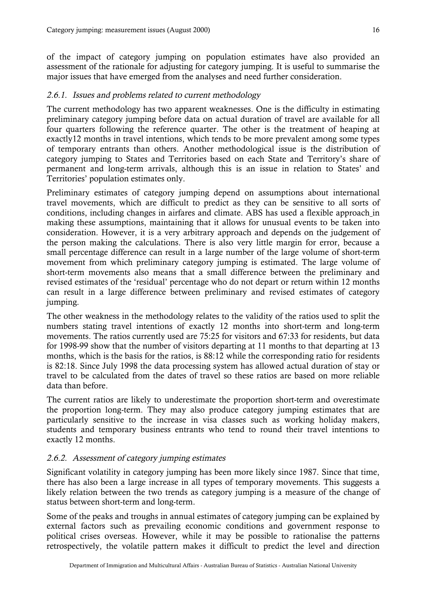<span id="page-18-0"></span>of the impact of category jumping on population estimates have also provided an assessment of the rationale for adjusting for category jumping. It is useful to summarise the major issues that have emerged from the analyses and need further consideration.

## 2.6.1. Issues and problems related to current methodology

The current methodology has two apparent weaknesses. One is the difficulty in estimating preliminary category jumping before data on actual duration of travel are available for all four quarters following the reference quarter. The other is the treatment of heaping at exactly12 months in travel intentions, which tends to be more prevalent among some types of temporary entrants than others. Another methodological issue is the distribution of category jumping to States and Territories based on each State and Territory's share of permanent and long-term arrivals, although this is an issue in relation to States' and Territories' population estimates only.

Preliminary estimates of category jumping depend on assumptions about international travel movements, which are difficult to predict as they can be sensitive to all sorts of conditions, including changes in airfares and climate. ABS has used a flexible approach in making these assumptions, maintaining that it allows for unusual events to be taken into consideration. However, it is a very arbitrary approach and depends on the judgement of the person making the calculations. There is also very little margin for error, because a small percentage difference can result in a large number of the large volume of short-term movement from which preliminary category jumping is estimated. The large volume of short-term movements also means that a small difference between the preliminary and revised estimates of the 'residual' percentage who do not depart or return within 12 months can result in a large difference between preliminary and revised estimates of category jumping.

The other weakness in the methodology relates to the validity of the ratios used to split the numbers stating travel intentions of exactly 12 months into short-term and long-term movements. The ratios currently used are 75:25 for visitors and 67:33 for residents, but data for 1998-99 show that the number of visitors departing at 11 months to that departing at 13 months, which is the basis for the ratios, is 88:12 while the corresponding ratio for residents is 82:18. Since July 1998 the data processing system has allowed actual duration of stay or travel to be calculated from the dates of travel so these ratios are based on more reliable data than before.

The current ratios are likely to underestimate the proportion short-term and overestimate the proportion long-term. They may also produce category jumping estimates that are particularly sensitive to the increase in visa classes such as working holiday makers, students and temporary business entrants who tend to round their travel intentions to exactly 12 months.

## 2.6.2. Assessment of category jumping estimates

Significant volatility in category jumping has been more likely since 1987. Since that time, there has also been a large increase in all types of temporary movements. This suggests a likely relation between the two trends as category jumping is a measure of the change of status between short-term and long-term.

Some of the peaks and troughs in annual estimates of category jumping can be explained by external factors such as prevailing economic conditions and government response to political crises overseas. However, while it may be possible to rationalise the patterns retrospectively, the volatile pattern makes it difficult to predict the level and direction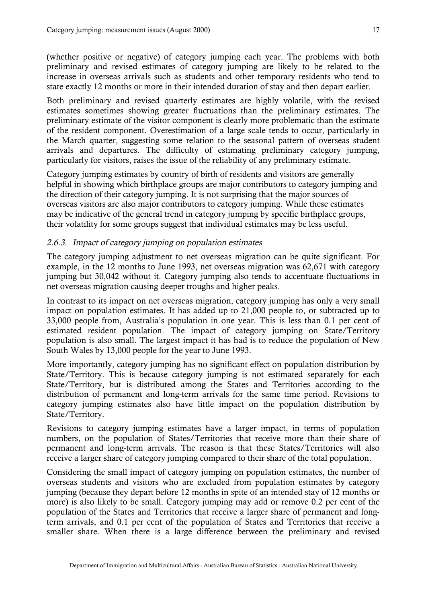<span id="page-19-0"></span>(whether positive or negative) of category jumping each year. The problems with both preliminary and revised estimates of category jumping are likely to be related to the increase in overseas arrivals such as students and other temporary residents who tend to state exactly 12 months or more in their intended duration of stay and then depart earlier.

Both preliminary and revised quarterly estimates are highly volatile, with the revised estimates sometimes showing greater fluctuations than the preliminary estimates. The preliminary estimate of the visitor component is clearly more problematic than the estimate of the resident component. Overestimation of a large scale tends to occur, particularly in the March quarter, suggesting some relation to the seasonal pattern of overseas student arrivals and departures. The difficulty of estimating preliminary category jumping, particularly for visitors, raises the issue of the reliability of any preliminary estimate.

Category jumping estimates by country of birth of residents and visitors are generally helpful in showing which birthplace groups are major contributors to category jumping and the direction of their category jumping. It is not surprising that the major sources of overseas visitors are also major contributors to category jumping. While these estimates may be indicative of the general trend in category jumping by specific birthplace groups, their volatility for some groups suggest that individual estimates may be less useful.

#### 2.6.3. Impact of category jumping on population estimates

The category jumping adjustment to net overseas migration can be quite significant. For example, in the 12 months to June 1993, net overseas migration was 62,671 with category jumping but 30,042 without it. Category jumping also tends to accentuate fluctuations in net overseas migration causing deeper troughs and higher peaks.

In contrast to its impact on net overseas migration, category jumping has only a very small impact on population estimates. It has added up to 21,000 people to, or subtracted up to 33,000 people from, Australia's population in one year. This is less than 0.1 per cent of estimated resident population. The impact of category jumping on State/Territory population is also small. The largest impact it has had is to reduce the population of New South Wales by 13,000 people for the year to June 1993.

More importantly, category jumping has no significant effect on population distribution by State/Territory. This is because category jumping is not estimated separately for each State/Territory, but is distributed among the States and Territories according to the distribution of permanent and long-term arrivals for the same time period. Revisions to category jumping estimates also have little impact on the population distribution by State/Territory.

Revisions to category jumping estimates have a larger impact, in terms of population numbers, on the population of States/Territories that receive more than their share of permanent and long-term arrivals. The reason is that these States/Territories will also receive a larger share of category jumping compared to their share of the total population.

Considering the small impact of category jumping on population estimates, the number of overseas students and visitors who are excluded from population estimates by category jumping (because they depart before 12 months in spite of an intended stay of 12 months or more) is also likely to be small. Category jumping may add or remove 0.2 per cent of the population of the States and Territories that receive a larger share of permanent and longterm arrivals, and 0.1 per cent of the population of States and Territories that receive a smaller share. When there is a large difference between the preliminary and revised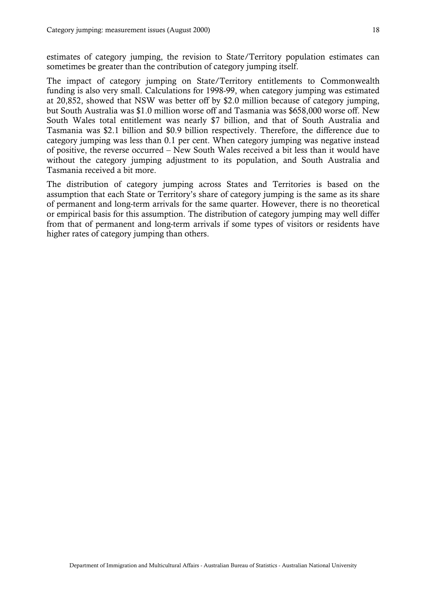estimates of category jumping, the revision to State/Territory population estimates can sometimes be greater than the contribution of category jumping itself.

The impact of category jumping on State/Territory entitlements to Commonwealth funding is also very small. Calculations for 1998-99, when category jumping was estimated at 20,852, showed that NSW was better off by \$2.0 million because of category jumping, but South Australia was \$1.0 million worse off and Tasmania was \$658,000 worse off. New South Wales total entitlement was nearly \$7 billion, and that of South Australia and Tasmania was \$2.1 billion and \$0.9 billion respectively. Therefore, the difference due to category jumping was less than 0.1 per cent. When category jumping was negative instead of positive, the reverse occurred – New South Wales received a bit less than it would have without the category jumping adjustment to its population, and South Australia and Tasmania received a bit more.

The distribution of category jumping across States and Territories is based on the assumption that each State or Territory's share of category jumping is the same as its share of permanent and long-term arrivals for the same quarter. However, there is no theoretical or empirical basis for this assumption. The distribution of category jumping may well differ from that of permanent and long-term arrivals if some types of visitors or residents have higher rates of category jumping than others.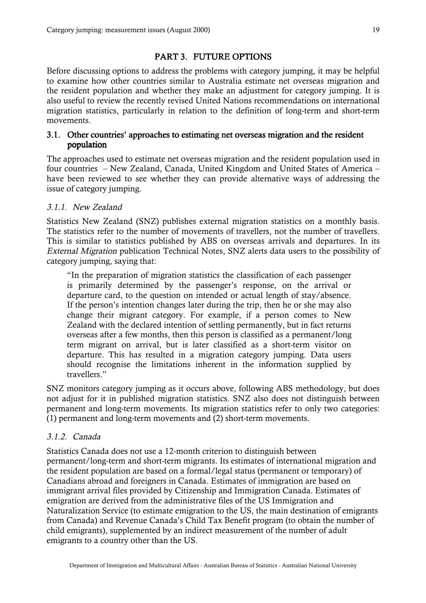## PART 3. FUTURE OPTIONS

<span id="page-21-0"></span>Before discussing options to address the problems with category jumping, it may be helpful to examine how other countries similar to Australia estimate net overseas migration and the resident population and whether they make an adjustment for category jumping. It is also useful to review the recently revised United Nations recommendations on international migration statistics, particularly in relation to the definition of long-term and short-term movements.

#### 3.1. Other countries' approaches to estimating net overseas migration and the resident population

The approaches used to estimate net overseas migration and the resident population used in four countries – New Zealand, Canada, United Kingdom and United States of America – have been reviewed to see whether they can provide alternative ways of addressing the issue of category jumping.

#### 3.1.1. New Zealand

Statistics New Zealand (SNZ) publishes external migration statistics on a monthly basis. The statistics refer to the number of movements of travellers, not the number of travellers. This is similar to statistics published by ABS on overseas arrivals and departures. In its External Migration publication Technical Notes, SNZ alerts data users to the possibility of category jumping, saying that:

"In the preparation of migration statistics the classification of each passenger is primarily determined by the passenger's response, on the arrival or departure card, to the question on intended or actual length of stay/absence. If the person's intention changes later during the trip, then he or she may also change their migrant category. For example, if a person comes to New Zealand with the declared intention of settling permanently, but in fact returns overseas after a few months, then this person is classified as a permanent/long term migrant on arrival, but is later classified as a short-term visitor on departure. This has resulted in a migration category jumping. Data users should recognise the limitations inherent in the information supplied by travellers."

SNZ monitors category jumping as it occurs above, following ABS methodology, but does not adjust for it in published migration statistics. SNZ also does not distinguish between permanent and long-term movements. Its migration statistics refer to only two categories: (1) permanent and long-term movements and (2) short-term movements.

## 3.1.2. Canada

Statistics Canada does not use a 12-month criterion to distinguish between permanent/long-term and short-term migrants. Its estimates of international migration and the resident population are based on a formal/legal status (permanent or temporary) of Canadians abroad and foreigners in Canada. Estimates of immigration are based on immigrant arrival files provided by Citizenship and Immigration Canada. Estimates of emigration are derived from the administrative files of the US Immigration and Naturalization Service (to estimate emigration to the US, the main destination of emigrants from Canada) and Revenue Canada's Child Tax Benefit program (to obtain the number of child emigrants), supplemented by an indirect measurement of the number of adult emigrants to a country other than the US.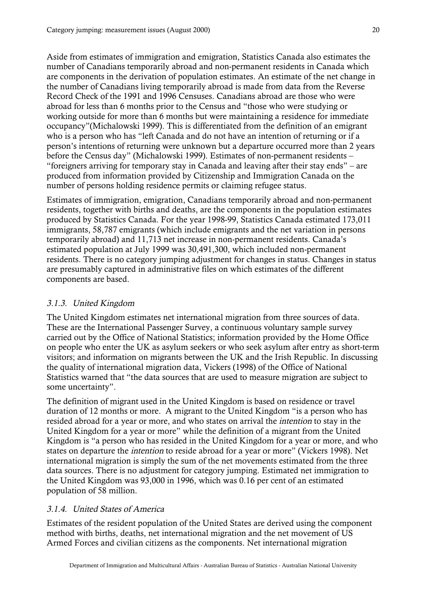<span id="page-22-0"></span>Aside from estimates of immigration and emigration, Statistics Canada also estimates the number of Canadians temporarily abroad and non-permanent residents in Canada which are components in the derivation of population estimates. An estimate of the net change in the number of Canadians living temporarily abroad is made from data from the Reverse Record Check of the 1991 and 1996 Censuses. Canadians abroad are those who were abroad for less than 6 months prior to the Census and "those who were studying or working outside for more than 6 months but were maintaining a residence for immediate occupancy"(Michalowski 1999). This is differentiated from the definition of an emigrant who is a person who has "left Canada and do not have an intention of returning or if a person's intentions of returning were unknown but a departure occurred more than 2 years before the Census day" (Michalowski 1999). Estimates of non-permanent residents – "foreigners arriving for temporary stay in Canada and leaving after their stay ends" – are produced from information provided by Citizenship and Immigration Canada on the number of persons holding residence permits or claiming refugee status.

Estimates of immigration, emigration, Canadians temporarily abroad and non-permanent residents, together with births and deaths, are the components in the population estimates produced by Statistics Canada. For the year 1998-99, Statistics Canada estimated 173,011 immigrants, 58,787 emigrants (which include emigrants and the net variation in persons temporarily abroad) and 11,713 net increase in non-permanent residents. Canada's estimated population at July 1999 was 30,491,300, which included non-permanent residents. There is no category jumping adjustment for changes in status. Changes in status are presumably captured in administrative files on which estimates of the different components are based.

## 3.1.3. United Kingdom

The United Kingdom estimates net international migration from three sources of data. These are the International Passenger Survey, a continuous voluntary sample survey carried out by the Office of National Statistics; information provided by the Home Office on people who enter the UK as asylum seekers or who seek asylum after entry as short-term visitors; and information on migrants between the UK and the Irish Republic. In discussing the quality of international migration data, Vickers (1998) of the Office of National Statistics warned that "the data sources that are used to measure migration are subject to some uncertainty".

The definition of migrant used in the United Kingdom is based on residence or travel duration of 12 months or more. A migrant to the United Kingdom "is a person who has resided abroad for a year or more, and who states on arrival the intention to stay in the United Kingdom for a year or more" while the definition of a migrant from the United Kingdom is "a person who has resided in the United Kingdom for a year or more, and who states on departure the intention to reside abroad for a year or more" (Vickers 1998). Net international migration is simply the sum of the net movements estimated from the three data sources. There is no adjustment for category jumping. Estimated net immigration to the United Kingdom was 93,000 in 1996, which was 0.16 per cent of an estimated population of 58 million.

## 3.1.4. United States of America

Estimates of the resident population of the United States are derived using the component method with births, deaths, net international migration and the net movement of US Armed Forces and civilian citizens as the components. Net international migration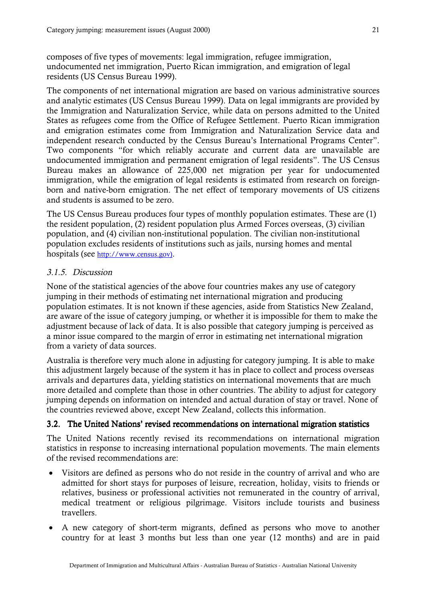<span id="page-23-0"></span>composes of five types of movements: legal immigration, refugee immigration, undocumented net immigration, Puerto Rican immigration, and emigration of legal residents (US Census Bureau 1999).

The components of net international migration are based on various administrative sources and analytic estimates (US Census Bureau 1999). Data on legal immigrants are provided by the Immigration and Naturalization Service, while data on persons admitted to the United States as refugees come from the Office of Refugee Settlement. Puerto Rican immigration and emigration estimates come from Immigration and Naturalization Service data and independent research conducted by the Census Bureau's International Programs Center". Two components "for which reliably accurate and current data are unavailable are undocumented immigration and permanent emigration of legal residents". The US Census Bureau makes an allowance of 225,000 net migration per year for undocumented immigration, while the emigration of legal residents is estimated from research on foreignborn and native-born emigration. The net effect of temporary movements of US citizens and students is assumed to be zero.

The US Census Bureau produces four types of monthly population estimates. These are (1) the resident population, (2) resident population plus Armed Forces overseas, (3) civilian population, and (4) civilian non-institutional population. The civilian non-institutional population excludes residents of institutions such as jails, nursing homes and mental hospitals (see [http://www.census.gov\).](http://www.census.gov)/)

#### 3.1.5. Discussion

None of the statistical agencies of the above four countries makes any use of category jumping in their methods of estimating net international migration and producing population estimates. It is not known if these agencies, aside from Statistics New Zealand, are aware of the issue of category jumping, or whether it is impossible for them to make the adjustment because of lack of data. It is also possible that category jumping is perceived as a minor issue compared to the margin of error in estimating net international migration from a variety of data sources.

Australia is therefore very much alone in adjusting for category jumping. It is able to make this adjustment largely because of the system it has in place to collect and process overseas arrivals and departures data, yielding statistics on international movements that are much more detailed and complete than those in other countries. The ability to adjust for category jumping depends on information on intended and actual duration of stay or travel. None of the countries reviewed above, except New Zealand, collects this information.

#### 3.2. The United Nations' revised recommendations on international migration statistics

The United Nations recently revised its recommendations on international migration statistics in response to increasing international population movements. The main elements of the revised recommendations are:

- ! Visitors are defined as persons who do not reside in the country of arrival and who are admitted for short stays for purposes of leisure, recreation, holiday, visits to friends or relatives, business or professional activities not remunerated in the country of arrival, medical treatment or religious pilgrimage. Visitors include tourists and business travellers.
- A new category of short-term migrants, defined as persons who move to another country for at least 3 months but less than one year (12 months) and are in paid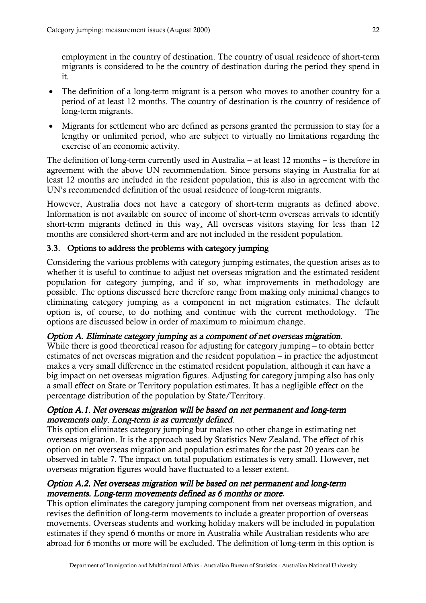<span id="page-24-0"></span>employment in the country of destination. The country of usual residence of short-term migrants is considered to be the country of destination during the period they spend in it.

- ! The definition of a long-term migrant is a person who moves to another country for a period of at least 12 months. The country of destination is the country of residence of long-term migrants.
- Migrants for settlement who are defined as persons granted the permission to stay for a lengthy or unlimited period, who are subject to virtually no limitations regarding the exercise of an economic activity.

The definition of long-term currently used in Australia – at least 12 months – is therefore in agreement with the above UN recommendation. Since persons staying in Australia for at least 12 months are included in the resident population, this is also in agreement with the UN's recommended definition of the usual residence of long-term migrants.

However, Australia does not have a category of short-term migrants as defined above. Information is not available on source of income of short-term overseas arrivals to identify short-term migrants defined in this way. All overseas visitors staying for less than 12 months are considered short-term and are not included in the resident population.

# 3.3. Options to address the problems with category jumping

Considering the various problems with category jumping estimates, the question arises as to whether it is useful to continue to adjust net overseas migration and the estimated resident population for category jumping, and if so, what improvements in methodology are possible. The options discussed here therefore range from making only minimal changes to eliminating category jumping as a component in net migration estimates. The default option is, of course, to do nothing and continue with the current methodology. The options are discussed below in order of maximum to minimum change.

## Option A. Eliminate category jumping as a component of net overseas migration.

While there is good theoretical reason for adjusting for category jumping – to obtain better estimates of net overseas migration and the resident population – in practice the adjustment makes a very small difference in the estimated resident population, although it can have a big impact on net overseas migration figures. Adjusting for category jumping also has only a small effect on State or Territory population estimates. It has a negligible effect on the percentage distribution of the population by State/Territory.

## Option A.1. Net overseas migration will be based on net permanent and long-term movements only. Long-term is as currently defined.

This option eliminates category jumping but makes no other change in estimating net overseas migration. It is the approach used by Statistics New Zealand. The effect of this option on net overseas migration and population estimates for the past 20 years can be observed in table 7. The impact on total population estimates is very small. However, net overseas migration figures would have fluctuated to a lesser extent.

## Option A.2. Net overseas migration will be based on net permanent and long-term movements. Long-term movements defined as 6 months or more.

This option eliminates the category jumping component from net overseas migration, and revises the definition of long-term movements to include a greater proportion of overseas movements. Overseas students and working holiday makers will be included in population estimates if they spend 6 months or more in Australia while Australian residents who are abroad for 6 months or more will be excluded. The definition of long-term in this option is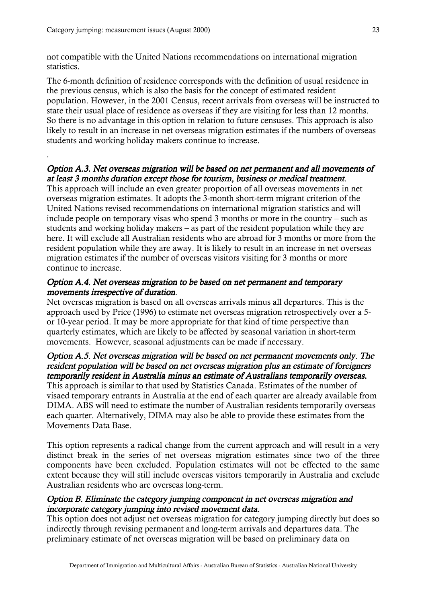.

not compatible with the United Nations recommendations on international migration statistics.

The 6-month definition of residence corresponds with the definition of usual residence in the previous census, which is also the basis for the concept of estimated resident population. However, in the 2001 Census, recent arrivals from overseas will be instructed to state their usual place of residence as overseas if they are visiting for less than 12 months. So there is no advantage in this option in relation to future censuses. This approach is also likely to result in an increase in net overseas migration estimates if the numbers of overseas students and working holiday makers continue to increase.

#### Option A.3. Net overseas migration will be based on net permanent and all movements of at least 3 months duration except those for tourism, business or medical treatment.

This approach will include an even greater proportion of all overseas movements in net overseas migration estimates. It adopts the 3-month short-term migrant criterion of the United Nations revised recommendations on international migration statistics and will include people on temporary visas who spend 3 months or more in the country – such as students and working holiday makers – as part of the resident population while they are here. It will exclude all Australian residents who are abroad for 3 months or more from the resident population while they are away. It is likely to result in an increase in net overseas migration estimates if the number of overseas visitors visiting for 3 months or more continue to increase.

#### Option A.4. Net overseas migration to be based on net permanent and temporary movements irrespective of duration.

Net overseas migration is based on all overseas arrivals minus all departures. This is the approach used by Price (1996) to estimate net overseas migration retrospectively over a 5 or 10-year period. It may be more appropriate for that kind of time perspective than quarterly estimates, which are likely to be affected by seasonal variation in short-term movements. However, seasonal adjustments can be made if necessary.

# Option A.5. Net overseas migration will be based on net permanent movements only. The resident population will be based on net overseas migration plus an estimate of foreigners temporarily resident in Australia minus an estimate of Australians temporarily overseas. temporarily This approach is similar to that used by Statistics Canada. Estimates of the number of visaed temporary entrants in Australia at the end of each quarter are already available from DIMA. ABS will need to estimate the number of Australian residents temporarily overseas

each quarter. Alternatively, DIMA may also be able to provide these estimates from the Movements Data Base. This option represents a radical change from the current approach and will result in a very

distinct break in the series of net overseas migration estimates since two of the three components have been excluded. Population estimates will not be effected to the same extent because they will still include overseas visitors temporarily in Australia and exclude Australian residents who are overseas long-term.

#### Option B. Eliminate the category jumping component in net overseas migration and incorporate category jumping into revised movement data.

This option does not adjust net overseas migration for category jumping directly but does so indirectly through revising permanent and long-term arrivals and departures data. The preliminary estimate of net overseas migration will be based on preliminary data on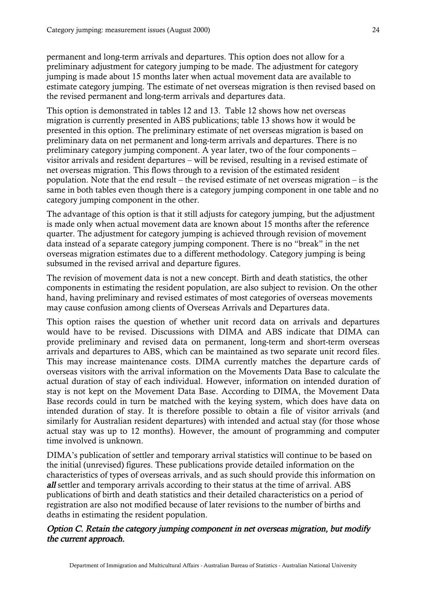permanent and long-term arrivals and departures. This option does not allow for a preliminary adjustment for category jumping to be made. The adjustment for category jumping is made about 15 months later when actual movement data are available to estimate category jumping. The estimate of net overseas migration is then revised based on the revised permanent and long-term arrivals and departures data.

This option is demonstrated in tables 12 and 13. Table 12 shows how net overseas migration is currently presented in ABS publications; table 13 shows how it would be presented in this option. The preliminary estimate of net overseas migration is based on preliminary data on net permanent and long-term arrivals and departures. There is no preliminary category jumping component. A year later, two of the four components – visitor arrivals and resident departures – will be revised, resulting in a revised estimate of net overseas migration. This flows through to a revision of the estimated resident population. Note that the end result – the revised estimate of net overseas migration – is the same in both tables even though there is a category jumping component in one table and no category jumping component in the other.

The advantage of this option is that it still adjusts for category jumping, but the adjustment is made only when actual movement data are known about 15 months after the reference quarter. The adjustment for category jumping is achieved through revision of movement data instead of a separate category jumping component. There is no "break" in the net overseas migration estimates due to a different methodology. Category jumping is being subsumed in the revised arrival and departure figures.

The revision of movement data is not a new concept. Birth and death statistics, the other components in estimating the resident population, are also subject to revision. On the other hand, having preliminary and revised estimates of most categories of overseas movements may cause confusion among clients of Overseas Arrivals and Departures data.

This option raises the question of whether unit record data on arrivals and departures would have to be revised. Discussions with DIMA and ABS indicate that DIMA can provide preliminary and revised data on permanent, long-term and short-term overseas arrivals and departures to ABS, which can be maintained as two separate unit record files. This may increase maintenance costs. DIMA currently matches the departure cards of overseas visitors with the arrival information on the Movements Data Base to calculate the actual duration of stay of each individual. However, information on intended duration of stay is not kept on the Movement Data Base. According to DIMA, the Movement Data Base records could in turn be matched with the keying system, which does have data on intended duration of stay. It is therefore possible to obtain a file of visitor arrivals (and similarly for Australian resident departures) with intended and actual stay (for those whose actual stay was up to 12 months). However, the amount of programming and computer time involved is unknown.

DIMA's publication of settler and temporary arrival statistics will continue to be based on the initial (unrevised) figures. These publications provide detailed information on the characteristics of types of overseas arrivals, and as such should provide this information on all settler and temporary arrivals according to their status at the time of arrival. ABS publications of birth and death statistics and their detailed characteristics on a period of registration are also not modified because of later revisions to the number of births and deaths in estimating the resident population.

# Option C. Retain the category jumping component in net overseas migration, but modify the current approach.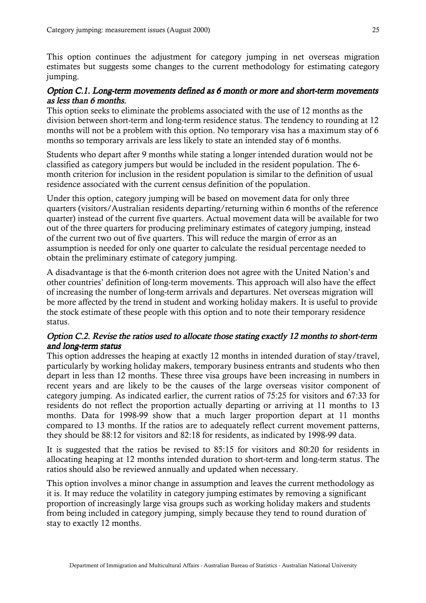This option continues the adjustment for category jumping in net overseas migration estimates but suggests some changes to the current methodology for estimating category jumping.

## Option C.1. Long-term movements defined as 6 month or more and short-term movements as less than 6 months.

This option seeks to eliminate the problems associated with the use of 12 months as the division between short-term and long-term residence status. The tendency to rounding at 12 months will not be a problem with this option. No temporary visa has a maximum stay of 6 months so temporary arrivals are less likely to state an intended stay of 6 months.

Students who depart after 9 months while stating a longer intended duration would not be classified as category jumpers but would be included in the resident population. The 6 month criterion for inclusion in the resident population is similar to the definition of usual residence associated with the current census definition of the population.

Under this option, category jumping will be based on movement data for only three quarters (visitors/Australian residents departing/returning within 6 months of the reference quarter) instead of the current five quarters. Actual movement data will be available for two out of the three quarters for producing preliminary estimates of category jumping, instead of the current two out of five quarters. This will reduce the margin of error as an assumption is needed for only one quarter to calculate the residual percentage needed to obtain the preliminary estimate of category jumping.

A disadvantage is that the 6-month criterion does not agree with the United Nation's and other countries' definition of long-term movements. This approach will also have the effect of increasing the number of long-term arrivals and departures. Net overseas migration will be more affected by the trend in student and working holiday makers. It is useful to provide the stock estimate of these people with this option and to note their temporary residence status.

## Option C.2. Revise the ratios used to allocate those stating exactly 12 months to short-term and long-term status

This option addresses the heaping at exactly 12 months in intended duration of stay/travel, particularly by working holiday makers, temporary business entrants and students who then depart in less than 12 months. These three visa groups have been increasing in numbers in recent years and are likely to be the causes of the large overseas visitor component of category jumping. As indicated earlier, the current ratios of 75:25 for visitors and 67:33 for residents do not reflect the proportion actually departing or arriving at 11 months to 13 months. Data for 1998-99 show that a much larger proportion depart at 11 months compared to 13 months. If the ratios are to adequately reflect current movement patterns, they should be 88:12 for visitors and 82:18 for residents, as indicated by 1998-99 data.

It is suggested that the ratios be revised to 85:15 for visitors and 80:20 for residents in allocating heaping at 12 months intended duration to short-term and long-term status. The ratios should also be reviewed annually and updated when necessary.

This option involves a minor change in assumption and leaves the current methodology as it is. It may reduce the volatility in category jumping estimates by removing a significant proportion of increasingly large visa groups such as working holiday makers and students from being included in category jumping, simply because they tend to round duration of stay to exactly 12 months.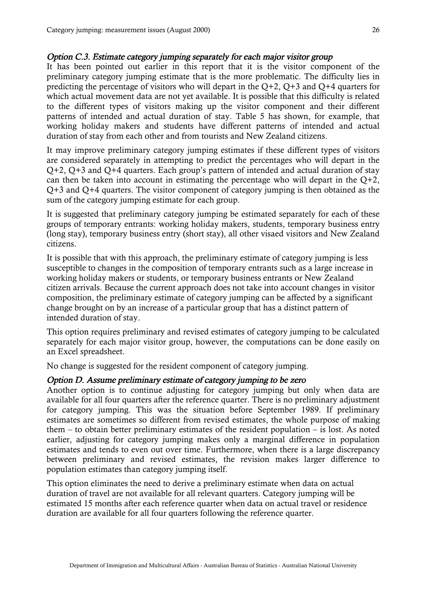#### Option C.3. Estimate category jumping separately for each major visitor group

It has been pointed out earlier in this report that it is the visitor component of the preliminary category jumping estimate that is the more problematic. The difficulty lies in predicting the percentage of visitors who will depart in the  $Q+2$ ,  $Q+3$  and  $Q+4$  quarters for which actual movement data are not yet available. It is possible that this difficulty is related to the different types of visitors making up the visitor component and their different patterns of intended and actual duration of stay. Table 5 has shown, for example, that working holiday makers and students have different patterns of intended and actual duration of stay from each other and from tourists and New Zealand citizens.

It may improve preliminary category jumping estimates if these different types of visitors are considered separately in attempting to predict the percentages who will depart in the Q+2, Q+3 and Q+4 quarters. Each group's pattern of intended and actual duration of stay can then be taken into account in estimating the percentage who will depart in the  $Q+2$ , Q+3 and Q+4 quarters. The visitor component of category jumping is then obtained as the sum of the category jumping estimate for each group.

It is suggested that preliminary category jumping be estimated separately for each of these groups of temporary entrants: working holiday makers, students, temporary business entry (long stay), temporary business entry (short stay), all other visaed visitors and New Zealand citizens.

It is possible that with this approach, the preliminary estimate of category jumping is less susceptible to changes in the composition of temporary entrants such as a large increase in working holiday makers or students, or temporary business entrants or New Zealand citizen arrivals. Because the current approach does not take into account changes in visitor composition, the preliminary estimate of category jumping can be affected by a significant change brought on by an increase of a particular group that has a distinct pattern of intended duration of stay.

This option requires preliminary and revised estimates of category jumping to be calculated separately for each major visitor group, however, the computations can be done easily on an Excel spreadsheet.

No change is suggested for the resident component of category jumping.

#### Option D. Assume preliminary estimate of category jumping to be zero

Another option is to continue adjusting for category jumping but only when data are available for all four quarters after the reference quarter. There is no preliminary adjustment for category jumping. This was the situation before September 1989. If preliminary estimates are sometimes so different from revised estimates, the whole purpose of making them – to obtain better preliminary estimates of the resident population – is lost. As noted earlier, adjusting for category jumping makes only a marginal difference in population estimates and tends to even out over time. Furthermore, when there is a large discrepancy between preliminary and revised estimates, the revision makes larger difference to population estimates than category jumping itself.

This option eliminates the need to derive a preliminary estimate when data on actual duration of travel are not available for all relevant quarters. Category jumping will be estimated 15 months after each reference quarter when data on actual travel or residence duration are available for all four quarters following the reference quarter.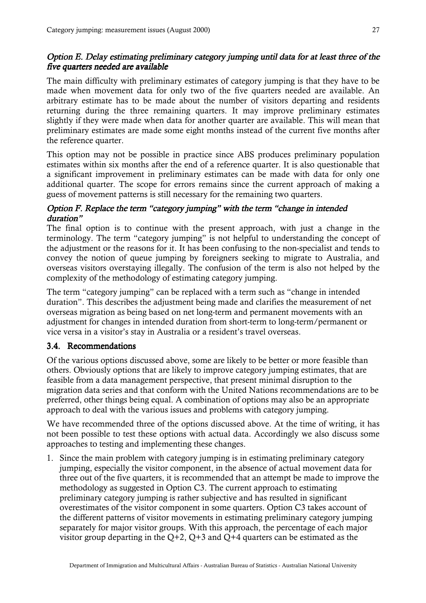# <span id="page-29-0"></span>Option E. Delay estimating preliminary category jumping until data for at least three of the five quarters needed are available

The main difficulty with preliminary estimates of category jumping is that they have to be made when movement data for only two of the five quarters needed are available. An arbitrary estimate has to be made about the number of visitors departing and residents returning during the three remaining quarters. It may improve preliminary estimates slightly if they were made when data for another quarter are available. This will mean that preliminary estimates are made some eight months instead of the current five months after the reference quarter.

This option may not be possible in practice since ABS produces preliminary population estimates within six months after the end of a reference quarter. It is also questionable that a significant improvement in preliminary estimates can be made with data for only one additional quarter. The scope for errors remains since the current approach of making a guess of movement patterns is still necessary for the remaining two quarters.

# Option F. Replace the term "category jumping" with the term "change in intended duration"

The final option is to continue with the present approach, with just a change in the terminology. The term "category jumping" is not helpful to understanding the concept of the adjustment or the reasons for it. It has been confusing to the non-specialist and tends to convey the notion of queue jumping by foreigners seeking to migrate to Australia, and overseas visitors overstaying illegally. The confusion of the term is also not helped by the complexity of the methodology of estimating category jumping.

The term "category jumping" can be replaced with a term such as "change in intended duration". This describes the adjustment being made and clarifies the measurement of net overseas migration as being based on net long-term and permanent movements with an adjustment for changes in intended duration from short-term to long-term/permanent or vice versa in a visitor's stay in Australia or a resident's travel overseas.

## 3.4. Recommendations

Of the various options discussed above, some are likely to be better or more feasible than others. Obviously options that are likely to improve category jumping estimates, that are feasible from a data management perspective, that present minimal disruption to the migration data series and that conform with the United Nations recommendations are to be preferred, other things being equal. A combination of options may also be an appropriate approach to deal with the various issues and problems with category jumping.

We have recommended three of the options discussed above. At the time of writing, it has not been possible to test these options with actual data. Accordingly we also discuss some approaches to testing and implementing these changes.

1. Since the main problem with category jumping is in estimating preliminary category jumping, especially the visitor component, in the absence of actual movement data for three out of the five quarters, it is recommended that an attempt be made to improve the methodology as suggested in Option C3. The current approach to estimating preliminary category jumping is rather subjective and has resulted in significant overestimates of the visitor component in some quarters. Option C3 takes account of the different patterns of visitor movements in estimating preliminary category jumping separately for major visitor groups. With this approach, the percentage of each major visitor group departing in the  $Q+2$ ,  $Q+3$  and  $Q+4$  quarters can be estimated as the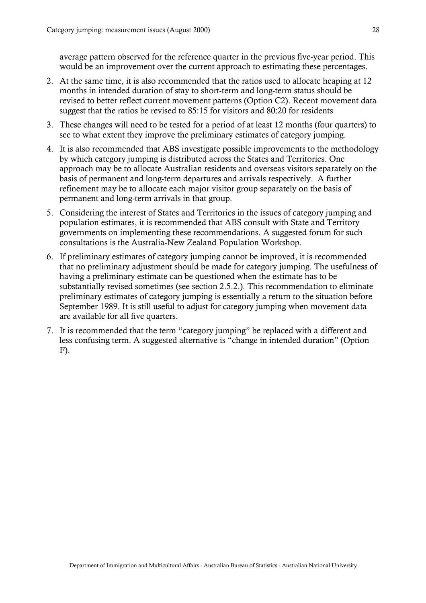average pattern observed for the reference quarter in the previous five-year period. This would be an improvement over the current approach to estimating these percentages.

- 2. At the same time, it is also recommended that the ratios used to allocate heaping at 12 months in intended duration of stay to short-term and long-term status should be revised to better reflect current movement patterns (Option C2). Recent movement data suggest that the ratios be revised to 85:15 for visitors and 80:20 for residents
- 3. These changes will need to be tested for a period of at least 12 months (four quarters) to see to what extent they improve the preliminary estimates of category jumping.
- 4. It is also recommended that ABS investigate possible improvements to the methodology by which category jumping is distributed across the States and Territories. One approach may be to allocate Australian residents and overseas visitors separately on the basis of permanent and long-term departures and arrivals respectively. A further refinement may be to allocate each major visitor group separately on the basis of permanent and long-term arrivals in that group.
- 5. Considering the interest of States and Territories in the issues of category jumping and population estimates, it is recommended that ABS consult with State and Territory governments on implementing these recommendations. A suggested forum for such consultations is the Australia-New Zealand Population Workshop.
- 6. If preliminary estimates of category jumping cannot be improved, it is recommended that no preliminary adjustment should be made for category jumping. The usefulness of having a preliminary estimate can be questioned when the estimate has to be substantially revised sometimes (see section 2.5.2.). This recommendation to eliminate preliminary estimates of category jumping is essentially a return to the situation before September 1989. It is still useful to adjust for category jumping when movement data are available for all five quarters.
- 7. It is recommended that the term "category jumping" be replaced with a different and less confusing term. A suggested alternative is "change in intended duration" (Option F).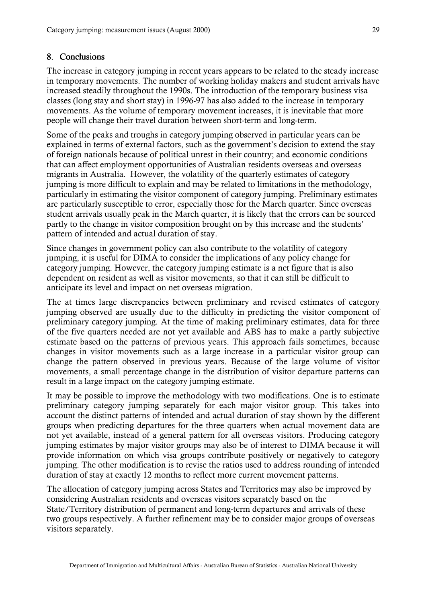#### <span id="page-31-0"></span>8. Conclusions

The increase in category jumping in recent years appears to be related to the steady increase in temporary movements. The number of working holiday makers and student arrivals have increased steadily throughout the 1990s. The introduction of the temporary business visa classes (long stay and short stay) in 1996-97 has also added to the increase in temporary movements. As the volume of temporary movement increases, it is inevitable that more people will change their travel duration between short-term and long-term.

Some of the peaks and troughs in category jumping observed in particular years can be explained in terms of external factors, such as the government's decision to extend the stay of foreign nationals because of political unrest in their country; and economic conditions that can affect employment opportunities of Australian residents overseas and overseas migrants in Australia. However, the volatility of the quarterly estimates of category jumping is more difficult to explain and may be related to limitations in the methodology, particularly in estimating the visitor component of category jumping. Preliminary estimates are particularly susceptible to error, especially those for the March quarter. Since overseas student arrivals usually peak in the March quarter, it is likely that the errors can be sourced partly to the change in visitor composition brought on by this increase and the students' pattern of intended and actual duration of stay.

Since changes in government policy can also contribute to the volatility of category jumping, it is useful for DIMA to consider the implications of any policy change for category jumping. However, the category jumping estimate is a net figure that is also dependent on resident as well as visitor movements, so that it can still be difficult to anticipate its level and impact on net overseas migration.

The at times large discrepancies between preliminary and revised estimates of category jumping observed are usually due to the difficulty in predicting the visitor component of preliminary category jumping. At the time of making preliminary estimates, data for three of the five quarters needed are not yet available and ABS has to make a partly subjective estimate based on the patterns of previous years. This approach fails sometimes, because changes in visitor movements such as a large increase in a particular visitor group can change the pattern observed in previous years. Because of the large volume of visitor movements, a small percentage change in the distribution of visitor departure patterns can result in a large impact on the category jumping estimate.

It may be possible to improve the methodology with two modifications. One is to estimate preliminary category jumping separately for each major visitor group. This takes into account the distinct patterns of intended and actual duration of stay shown by the different groups when predicting departures for the three quarters when actual movement data are not yet available, instead of a general pattern for all overseas visitors. Producing category jumping estimates by major visitor groups may also be of interest to DIMA because it will provide information on which visa groups contribute positively or negatively to category jumping. The other modification is to revise the ratios used to address rounding of intended duration of stay at exactly 12 months to reflect more current movement patterns.

The allocation of category jumping across States and Territories may also be improved by considering Australian residents and overseas visitors separately based on the State/Territory distribution of permanent and long-term departures and arrivals of these two groups respectively. A further refinement may be to consider major groups of overseas visitors separately.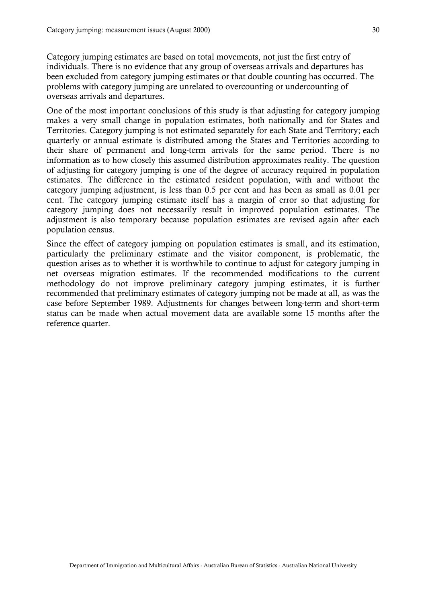Category jumping estimates are based on total movements, not just the first entry of individuals. There is no evidence that any group of overseas arrivals and departures has been excluded from category jumping estimates or that double counting has occurred. The problems with category jumping are unrelated to overcounting or undercounting of overseas arrivals and departures.

One of the most important conclusions of this study is that adjusting for category jumping makes a very small change in population estimates, both nationally and for States and Territories. Category jumping is not estimated separately for each State and Territory; each quarterly or annual estimate is distributed among the States and Territories according to their share of permanent and long-term arrivals for the same period. There is no information as to how closely this assumed distribution approximates reality. The question of adjusting for category jumping is one of the degree of accuracy required in population estimates. The difference in the estimated resident population, with and without the category jumping adjustment, is less than 0.5 per cent and has been as small as 0.01 per cent. The category jumping estimate itself has a margin of error so that adjusting for category jumping does not necessarily result in improved population estimates. The adjustment is also temporary because population estimates are revised again after each population census.

Since the effect of category jumping on population estimates is small, and its estimation, particularly the preliminary estimate and the visitor component, is problematic, the question arises as to whether it is worthwhile to continue to adjust for category jumping in net overseas migration estimates. If the recommended modifications to the current methodology do not improve preliminary category jumping estimates, it is further recommended that preliminary estimates of category jumping not be made at all, as was the case before September 1989. Adjustments for changes between long-term and short-term status can be made when actual movement data are available some 15 months after the reference quarter.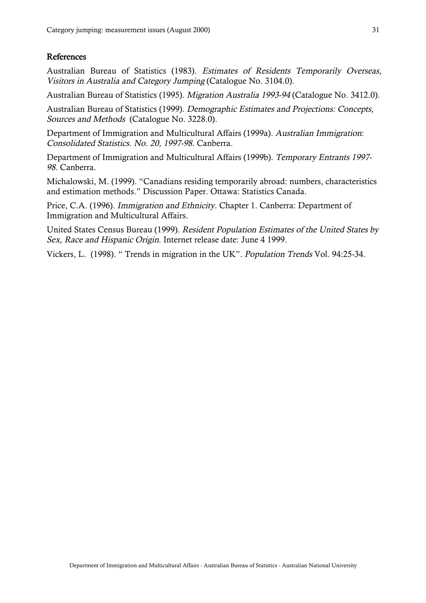#### References

Australian Bureau of Statistics (1983). Estimates of Residents Temporarily Overseas, Visitors in Australia and Category Jumping (Catalogue No. 3104.0).

Australian Bureau of Statistics (1995). Migration Australia 1993-94 (Catalogue No. 3412.0).

Australian Bureau of Statistics (1999). Demographic Estimates and Projections: Concepts, Sources and Methods (Catalogue No. 3228.0).

Department of Immigration and Multicultural Affairs (1999a). Australian Immigration: Consolidated Statistics. No. 20, 1997-98. Canberra.

Department of Immigration and Multicultural Affairs (1999b). Temporary Entrants 1997- 98. Canberra.

Michalowski, M. (1999). "Canadians residing temporarily abroad: numbers, characteristics and estimation methods." Discussion Paper. Ottawa: Statistics Canada.

Price, C.A. (1996). Immigration and Ethnicity. Chapter 1. Canberra: Department of Immigration and Multicultural Affairs.

United States Census Bureau (1999). Resident Population Estimates of the United States by Sex, Race and Hispanic Origin. Internet release date: June 4 1999.

Vickers, L. (1998). " Trends in migration in the UK". Population Trends Vol. 94:25-34.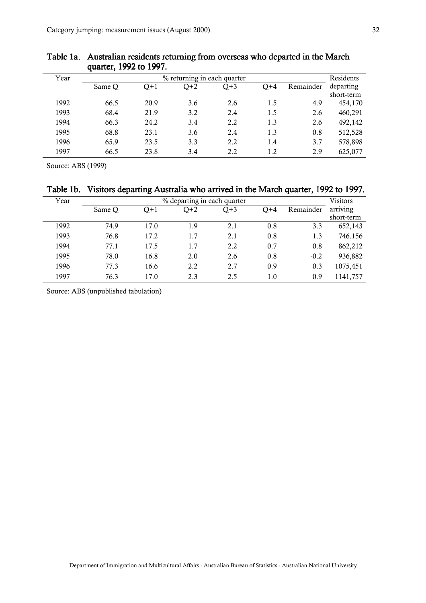| Year |        |      | % returning in each quarter |       |       |           | Residents  |
|------|--------|------|-----------------------------|-------|-------|-----------|------------|
|      | Same Q | O+1  | $Q+2$                       | $Q+3$ | $Q+4$ | Remainder | departing  |
|      |        |      |                             |       |       |           | short-term |
| 1992 | 66.5   | 20.9 | 3.6                         | 2.6   | 1.5   | 4.9       | 454,170    |
| 1993 | 68.4   | 21.9 | 3.2                         | 2.4   | 1.5   | 2.6       | 460,291    |
| 1994 | 66.3   | 24.2 | 3.4                         | 2.2   | 1.3   | 2.6       | 492,142    |
| 1995 | 68.8   | 23.1 | 3.6                         | 2.4   | 1.3   | 0.8       | 512,528    |
| 1996 | 65.9   | 23.5 | 3.3                         | 2.2   | 1.4   | 3.7       | 578,898    |
| 1997 | 66.5   | 23.8 | 3.4                         | 2.2   | 1.2   | 2.9       | 625,077    |

#### <span id="page-34-0"></span>Table 1a. Australian residents returning from overseas who departed in the March quarter, 1992 to 1997.

Source: ABS (1999)

# Table 1b. Visitors departing Australia who arrived in the March quarter, 1992 to 1997.

| Year |        |       | % departing in each quarter |       |       |           | <b>Visitors</b> |
|------|--------|-------|-----------------------------|-------|-------|-----------|-----------------|
|      | Same Q | $Q+1$ | $Q+2$                       | $Q+3$ | $Q+4$ | Remainder | arriving        |
|      |        |       |                             |       |       |           | short-term      |
| 1992 | 74.9   | 17.0  | 1.9                         | 2.1   | 0.8   | 3.3       | 652,143         |
| 1993 | 76.8   | 17.2  | 1.7                         | 2.1   | 0.8   | 1.3       | 746.156         |
| 1994 | 77.1   | 17.5  | 1.7                         | 2.2   | 0.7   | 0.8       | 862,212         |
| 1995 | 78.0   | 16.8  | 2.0                         | 2.6   | 0.8   | $-0.2$    | 936,882         |
| 1996 | 77.3   | 16.6  | 2.2                         | 2.7   | 0.9   | 0.3       | 1075,451        |
| 1997 | 76.3   | 17.0  | 2.3                         | 2.5   | 1.0   | 0.9       | 1141,757        |

Source: ABS (unpublished tabulation)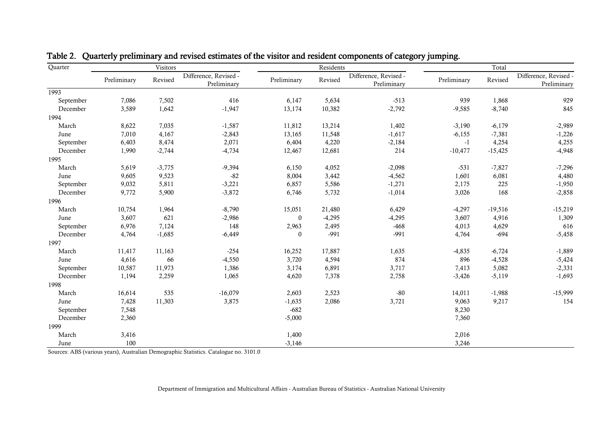| Quarter   |             | Visitors |                                      |              | Residents |                                      |             | Total     |                                      |  |
|-----------|-------------|----------|--------------------------------------|--------------|-----------|--------------------------------------|-------------|-----------|--------------------------------------|--|
|           | Preliminary | Revised  | Difference, Revised -<br>Preliminary | Preliminary  | Revised   | Difference, Revised -<br>Preliminary | Preliminary | Revised   | Difference, Revised -<br>Preliminary |  |
| 1993      |             |          |                                      |              |           |                                      |             |           |                                      |  |
| September | 7,086       | 7,502    | 416                                  | 6,147        | 5,634     | $-513$                               | 939         | 1,868     | 929                                  |  |
| December  | 3,589       | 1,642    | $-1,947$                             | 13,174       | 10,382    | $-2,792$                             | $-9,585$    | $-8,740$  | 845                                  |  |
| 1994      |             |          |                                      |              |           |                                      |             |           |                                      |  |
| March     | 8,622       | 7,035    | $-1,587$                             | 11,812       | 13,214    | 1,402                                | $-3,190$    | $-6,179$  | $-2,989$                             |  |
| June      | 7,010       | 4,167    | $-2,843$                             | 13,165       | 11,548    | $-1,617$                             | $-6,155$    | $-7,381$  | $-1,226$                             |  |
| September | 6,403       | 8,474    | 2,071                                | 6,404        | 4,220     | $-2,184$                             | $-1$        | 4,254     | 4,255                                |  |
| December  | 1,990       | $-2,744$ | $-4,734$                             | 12,467       | 12,681    | 214                                  | $-10,477$   | $-15,425$ | $-4,948$                             |  |
| 1995      |             |          |                                      |              |           |                                      |             |           |                                      |  |
| March     | 5,619       | $-3,775$ | $-9,394$                             | 6,150        | 4,052     | $-2,098$                             | $-531$      | $-7,827$  | $-7,296$                             |  |
| June      | 9,605       | 9,523    | $-82$                                | 8,004        | 3,442     | $-4,562$                             | 1,601       | 6,081     | 4,480                                |  |
| September | 9,032       | 5,811    | $-3,221$                             | 6,857        | 5,586     | $-1,271$                             | 2,175       | 225       | $-1,950$                             |  |
| December  | 9,772       | 5,900    | $-3,872$                             | 6,746        | 5,732     | $-1,014$                             | 3,026       | 168       | $-2,858$                             |  |
| 1996      |             |          |                                      |              |           |                                      |             |           |                                      |  |
| March     | 10,754      | 1,964    | $-8,790$                             | 15,051       | 21,480    | 6,429                                | $-4,297$    | $-19,516$ | $-15,219$                            |  |
| June      | 3,607       | 621      | $-2,986$                             | $\mathbf{0}$ | $-4,295$  | $-4,295$                             | 3,607       | 4,916     | 1,309                                |  |
| September | 6,976       | 7,124    | 148                                  | 2,963        | 2,495     | $-468$                               | 4,013       | 4,629     | 616                                  |  |
| December  | 4,764       | $-1,685$ | $-6,449$                             | $\mathbf{0}$ | $-991$    | $-991$                               | 4,764       | $-694$    | $-5,458$                             |  |
| 1997      |             |          |                                      |              |           |                                      |             |           |                                      |  |
| March     | 11,417      | 11,163   | $-254$                               | 16,252       | 17,887    | 1,635                                | $-4,835$    | $-6,724$  | $-1,889$                             |  |
| June      | 4,616       | 66       | $-4,550$                             | 3,720        | 4,594     | 874                                  | 896         | $-4,528$  | $-5,424$                             |  |
| September | 10,587      | 11,973   | 1,386                                | 3,174        | 6,891     | 3,717                                | 7,413       | 5,082     | $-2,331$                             |  |
| December  | 1,194       | 2,259    | 1,065                                | 4,620        | 7,378     | 2,758                                | $-3,426$    | $-5,119$  | $-1,693$                             |  |
| 1998      |             |          |                                      |              |           |                                      |             |           |                                      |  |
| March     | 16,614      | 535      | $-16,079$                            | 2,603        | 2,523     | $-80$                                | 14,011      | $-1,988$  | $-15,999$                            |  |
| June      | 7,428       | 11,303   | 3,875                                | $-1,635$     | 2,086     | 3,721                                | 9,063       | 9,217     | 154                                  |  |
| September | 7,548       |          |                                      | $-682$       |           |                                      | 8,230       |           |                                      |  |
| December  | 2,360       |          |                                      | $-5,000$     |           |                                      | 7,360       |           |                                      |  |
| 1999      |             |          |                                      |              |           |                                      |             |           |                                      |  |
| March     | 3,416       |          |                                      | 1,400        |           |                                      | 2,016       |           |                                      |  |
| June      | 100         |          |                                      | $-3,146$     |           |                                      | 3,246       |           |                                      |  |

# <span id="page-35-0"></span>Table 2. Quarterly preliminary and revised estimates of the visitor and resident components of category jumping.

Sources: ABS (various years), Australian Demographic Statistics. Catalogue no. 3101.0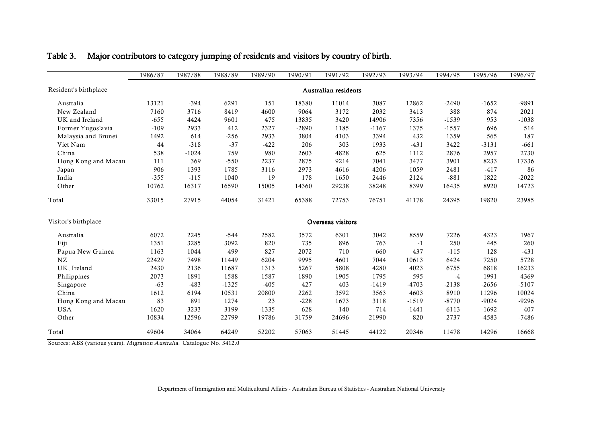|                       | 1986/87 | 1987/88 | 1988/89 | 1989/90 | 1990/91 | 1991/92              | 1992/93 | 1993/94 | 1994/95 | 1995/96 | 1996/97 |
|-----------------------|---------|---------|---------|---------|---------|----------------------|---------|---------|---------|---------|---------|
| Resident's birthplace |         |         |         |         |         | Australian residents |         |         |         |         |         |
| Australia             | 13121   | $-394$  | 6291    | 151     | 18380   | 11014                | 3087    | 12862   | $-2490$ | $-1652$ | -9891   |
| New Zealand           | 7160    | 3716    | 8419    | 4600    | 9064    | 3172                 | 2032    | 3413    | 388     | 874     | 2021    |
| UK and Ireland        | $-655$  | 4424    | 9601    | 475     | 13835   | 3420                 | 14906   | 7356    | $-1539$ | 953     | $-1038$ |
| Former Yugoslavia     | $-109$  | 2933    | 412     | 2327    | $-2890$ | 1185                 | $-1167$ | 1375    | $-1557$ | 696     | 514     |
| Malaysia and Brunei   | 1492    | 614     | $-256$  | 2933    | 3804    | 4103                 | 3394    | 432     | 1359    | 565     | 187     |
| Viet Nam              | 44      | $-318$  | $-37$   | $-422$  | 206     | 303                  | 1933    | $-431$  | 3422    | $-3131$ | $-661$  |
| China                 | 538     | $-1024$ | 759     | 980     | 2603    | 4828                 | 625     | 1112    | 2876    | 2957    | 2730    |
| Hong Kong and Macau   | 111     | 369     | $-550$  | 2237    | 2875    | 9214                 | 7041    | 3477    | 3901    | 8233    | 17336   |
| Japan                 | 906     | 1393    | 1785    | 3116    | 2973    | 4616                 | 4206    | 1059    | 2481    | $-417$  | 86      |
| India                 | $-355$  | $-115$  | 1040    | 19      | 178     | 1650                 | 2446    | 2124    | $-881$  | 1822    | $-2022$ |
| Other                 | 10762   | 16317   | 16590   | 15005   | 14360   | 29238                | 38248   | 8399    | 16435   | 8920    | 14723   |
| Total                 | 33015   | 27915   | 44054   | 31421   | 65388   | 72753                | 76751   | 41178   | 24395   | 19820   | 23985   |
| Visitor's birthplace  |         |         |         |         |         | Overseas visitors    |         |         |         |         |         |
| Australia             | 6072    | 2245    | $-544$  | 2582    | 3572    | 6301                 | 3042    | 8559    | 7226    | 4323    | 1967    |
| Fiji                  | 1351    | 3285    | 3092    | 820     | 735     | 896                  | 763     | $-1$    | 250     | 445     | 260     |
| Papua New Guinea      | 1163    | 1044    | 499     | 827     | 2072    | 710                  | 660     | 437     | $-115$  | 128     | $-431$  |
| NZ                    | 22429   | 7498    | 11449   | 6204    | 9995    | 4601                 | 7044    | 10613   | 6424    | 7250    | 5728    |
| UK, Ireland           | 2430    | 2136    | 11687   | 1313    | 5267    | 5808                 | 4280    | 4023    | 6755    | 6818    | 16233   |
| Philippines           | 2073    | 1891    | 1588    | 1587    | 1890    | 1905                 | 1795    | 595     | $-4$    | 1991    | 4369    |
| Singapore             | $-63$   | $-483$  | $-1325$ | $-405$  | 427     | 403                  | $-1419$ | $-4703$ | $-2138$ | $-2656$ | $-5107$ |
| China                 | 1612    | 6194    | 10531   | 20800   | 2262    | 3592                 | 3563    | 4603    | 8910    | 11296   | 10024   |
| Hong Kong and Macau   | 83      | 891     | 1274    | 23      | $-228$  | 1673                 | 3118    | $-1519$ | $-8770$ | $-9024$ | $-9296$ |
| <b>USA</b>            | 1620    | $-3233$ | 3199    | $-1335$ | 628     | $-140$               | $-714$  | $-1441$ | $-6113$ | $-1692$ | 407     |
| Other                 | 10834   | 12596   | 22799   | 19786   | 31759   | 24696                | 21990   | $-820$  | 2737    | $-4583$ | $-7486$ |
| Total                 | 49604   | 34064   | 64249   | 52202   | 57063   | 51445                | 44122   | 20346   | 11478   | 14296   | 16668   |

# <span id="page-36-0"></span>Table 3. Major contributors to category jumping of residents and visitors by country of birth.

Sources: ABS (various years), Migration Australia. Catalogue No. 3412.0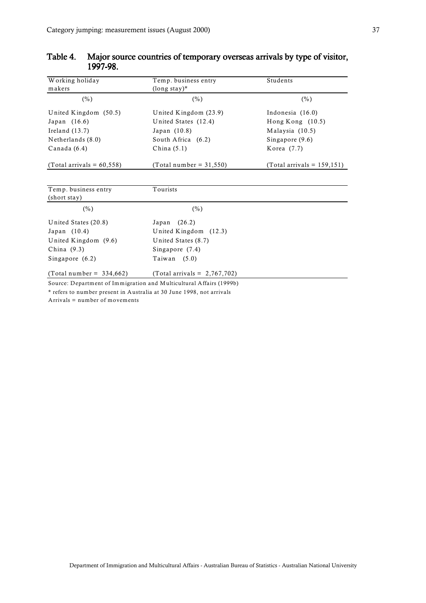| Working holiday              | Temp. business entry                                                | Students                      |
|------------------------------|---------------------------------------------------------------------|-------------------------------|
| makers                       | $(longstay)*$                                                       |                               |
| $(\%)$                       | $(\%)$                                                              | $(\%)$                        |
| United Kingdom (50.5)        | United Kingdom $(23.9)$                                             | Indonesia (16.0)              |
| Japan (16.6)                 | United States (12.4)                                                | Hong Kong $(10.5)$            |
| Ireland $(13.7)$             | Japan (10.8)                                                        | Malaysia (10.5)               |
| Netherlands (8.0)            | South Africa (6.2)                                                  | Singapore (9.6)               |
| Canada (6.4)                 | China $(5.1)$                                                       | Korea (7.7)                   |
| (Total arrivals = $60,558$ ) | (Total number = $31,550$ )                                          | (Total arrivals = $159,151$ ) |
|                              |                                                                     |                               |
| Temp. business entry         | Tourists                                                            |                               |
| (short stay)                 |                                                                     |                               |
| $(\%)$                       | $(\%)$                                                              |                               |
| United States (20.8)         | (26.2)<br>Japan                                                     |                               |
| Japan (10.4)                 | United Kingdom (12.3)                                               |                               |
| United Kingdom (9.6)         | United States (8.7)                                                 |                               |
| China (9.3)                  | Singapore $(7.4)$                                                   |                               |
| Singapore $(6.2)$            | Taiwan $(5.0)$                                                      |                               |
| $(Total number = 334,662)$   | (Total arrivals = $2,767,702$ )                                     |                               |
|                              | Source: Department of Immigration and Multicultural Affairs (1999b) |                               |

# <span id="page-37-0"></span>Table 4. Major source countries of temporary overseas arrivals by type of visitor, 1997-98.

\* refers to number present in Australia at 30 June 1998, not arrivals

Arrivals = number of movements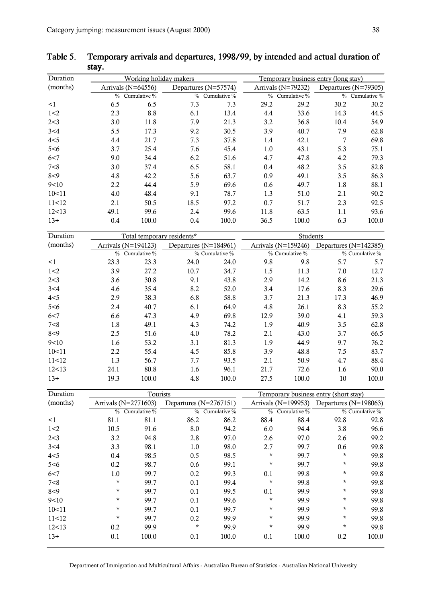| Duration |               | Working holiday makers |               |                      |               | Temporary business entry (long stay) |               |                      |  |  |
|----------|---------------|------------------------|---------------|----------------------|---------------|--------------------------------------|---------------|----------------------|--|--|
| (months) |               | Arrivals $(N=64556)$   |               | Departures (N=57574) |               | Arrivals (N=79232)                   |               | Departures (N=79305) |  |  |
|          | $\frac{0}{0}$ | Cumulative %           | $\frac{0}{0}$ | Cumulative %         | $\frac{0}{0}$ | Cumulative %                         | $\frac{0}{0}$ | Cumulative %         |  |  |
| <1       | 6.5           | 6.5                    | 7.3           | 7.3                  | 29.2          | 29.2                                 | 30.2          | 30.2                 |  |  |
| 1<2      | 2.3           | 8.8                    | 6.1           | 13.4                 | 4.4           | 33.6                                 | 14.3          | 44.5                 |  |  |
| 2 < 3    | 3.0           | 11.8                   | 7.9           | 21.3                 | 3.2           | 36.8                                 | 10.4          | 54.9                 |  |  |
| 3<4      | 5.5           | 17.3                   | 9.2           | 30.5                 | 3.9           | 40.7                                 | 7.9           | 62.8                 |  |  |
| 4 < 5    | 4.4           | 21.7                   | 7.3           | 37.8                 | 1.4           | 42.1                                 | 7             | 69.8                 |  |  |
| 5 < 6    | 3.7           | 25.4                   | 7.6           | 45.4                 | 1.0           | 43.1                                 | 5.3           | 75.1                 |  |  |
| 6 < 7    | 9.0           | 34.4                   | 6.2           | 51.6                 | 4.7           | 47.8                                 | 4.2           | 79.3                 |  |  |
| 7<8      | 3.0           | 37.4                   | 6.5           | 58.1                 | 0.4           | 48.2                                 | 3.5           | 82.8                 |  |  |
| 8 < 9    | 4.8           | 42.2                   | 5.6           | 63.7                 | 0.9           | 49.1                                 | 3.5           | 86.3                 |  |  |
| 9<10     | 2.2           | 44.4                   | 5.9           | 69.6                 | 0.6           | 49.7                                 | 1.8           | 88.1                 |  |  |
| 10<11    | 4.0           | 48.4                   | 9.1           | 78.7                 | 1.3           | 51.0                                 | 2.1           | 90.2                 |  |  |
| 11<12    | 2.1           | 50.5                   | 18.5          | 97.2                 | 0.7           | 51.7                                 | 2.3           | 92.5                 |  |  |
| 12<13    | 49.1          | 99.6                   | 2.4           | 99.6                 | 11.8          | 63.5                                 | 1.1           | 93.6                 |  |  |
| $13+$    | 0.4           | 100.0                  | 0.4           | 100.0                | 36.5          | 100.0                                | 6.3           | 100.0                |  |  |

<span id="page-38-0"></span>Table 5. Temporary arrivals and departures, 1998/99, by intended and actual duration of stay.

|      |       |                                     |                            | Students                                |       |                                         |                |
|------|-------|-------------------------------------|----------------------------|-----------------------------------------|-------|-----------------------------------------|----------------|
|      |       |                                     |                            |                                         |       | Departures (N=142385)                   |                |
| $\%$ |       |                                     |                            |                                         |       |                                         | % Cumulative % |
| 23.3 | 23.3  | 24.0                                | 24.0                       | 9.8                                     | 9.8   | 5.7                                     | 5.7            |
| 3.9  | 27.2  | 10.7                                | 34.7                       | 1.5                                     | 11.3  | 7.0                                     | 12.7           |
| 3.6  | 30.8  | 9.1                                 | 43.8                       | 2.9                                     | 14.2  | 8.6                                     | 21.3           |
| 4.6  | 35.4  | 8.2                                 | 52.0                       | 3.4                                     | 17.6  | 8.3                                     | 29.6           |
| 2.9  | 38.3  | 6.8                                 | 58.8                       | 3.7                                     | 21.3  | 17.3                                    | 46.9           |
| 2.4  | 40.7  | 6.1                                 | 64.9                       | 4.8                                     | 26.1  | 8.3                                     | 55.2           |
| 6.6  | 47.3  | 4.9                                 | 69.8                       | 12.9                                    | 39.0  | 4.1                                     | 59.3           |
| 1.8  | 49.1  | 4.3                                 | 74.2                       | 1.9                                     | 40.9  | 3.5                                     | 62.8           |
| 2.5  | 51.6  | 4.0                                 | 78.2                       | 2.1                                     | 43.0  | 3.7                                     | 66.5           |
| 1.6  | 53.2  | 3.1                                 | 81.3                       | 1.9                                     | 44.9  | 9.7                                     | 76.2           |
| 2.2  | 55.4  | 4.5                                 | 85.8                       | 3.9                                     | 48.8  | 7.5                                     | 83.7           |
| 1.3  | 56.7  | 7.7                                 | 93.5                       | 2.1                                     | 50.9  | 4.7                                     | 88.4           |
| 24.1 | 80.8  | 1.6                                 | 96.1                       | 21.7                                    | 72.6  | 1.6                                     | 90.0           |
| 19.3 | 100.0 | 4.8                                 | 100.0                      | 27.5                                    | 100.0 | 10                                      | 100.0          |
|      |       | Arrivals (N=194123)<br>Cumulative % | Total temporary residents* | Departures (N=184961)<br>% Cumulative % |       | Arrivals $(N=159246)$<br>% Cumulative % |                |

| Duration |                      | Tourists       |                            |              |          | Temporary business entry (short stay) |                                                   |                |  |
|----------|----------------------|----------------|----------------------------|--------------|----------|---------------------------------------|---------------------------------------------------|----------------|--|
| (months) | Arrivals (N=2771603) |                | Departures ( $N=2767151$ ) |              |          |                                       | Arrivals ( $N=199953$ ) Departures ( $N=198063$ ) |                |  |
|          |                      | % Cumulative % | $\%$                       | Cumulative % |          | % Cumulative %                        |                                                   | % Cumulative % |  |
| <1       | 81.1                 | 81.1           | 86.2                       | 86.2         | 88.4     | 88.4                                  | 92.8                                              | 92.8           |  |
| 1 < 2    | 10.5                 | 91.6           | 8.0                        | 94.2         | 6.0      | 94.4                                  | 3.8                                               | 96.6           |  |
| 2 < 3    | 3.2                  | 94.8           | 2.8                        | 97.0         | 2.6      | 97.0                                  | 2.6                                               | 99.2           |  |
| 3<4      | 3.3                  | 98.1           | 1.0                        | 98.0         | 2.7      | 99.7                                  | 0.6                                               | 99.8           |  |
| 4 < 5    | 0.4                  | 98.5           | 0.5                        | 98.5         | $^\star$ | 99.7                                  | *                                                 | 99.8           |  |
| 5 < 6    | 0.2                  | 98.7           | 0.6                        | 99.1         | $^\star$ | 99.7                                  | *                                                 | 99.8           |  |
| 6 < 7    | 1.0                  | 99.7           | 0.2                        | 99.3         | 0.1      | 99.8                                  | *                                                 | 99.8           |  |
| 7<8      | *                    | 99.7           | 0.1                        | 99.4         | $^\star$ | 99.8                                  | *                                                 | 99.8           |  |
| $8 - 9$  | $^\star$             | 99.7           | 0.1                        | 99.5         | 0.1      | 99.9                                  | *                                                 | 99.8           |  |
| 9<10     | *                    | 99.7           | 0.1                        | 99.6         | $^\star$ | 99.9                                  | *                                                 | 99.8           |  |
| 10<11    | *                    | 99.7           | 0.1                        | 99.7         | $^\star$ | 99.9                                  | *                                                 | 99.8           |  |
| 11<12    | *                    | 99.7           | 0.2                        | 99.9         | $^\star$ | 99.9                                  | *                                                 | 99.8           |  |
| 12<13    | 0.2                  | 99.9           | $^\star$                   | 99.9         | $^\star$ | 99.9                                  | *                                                 | 99.8           |  |
| $13+$    | 0.1                  | 100.0          | 0.1                        | 100.0        | 0.1      | 100.0                                 | 0.2                                               | 100.0          |  |

Department of Immigration and Multicultural Affairs - Australian Bureau of Statistics - Australian National University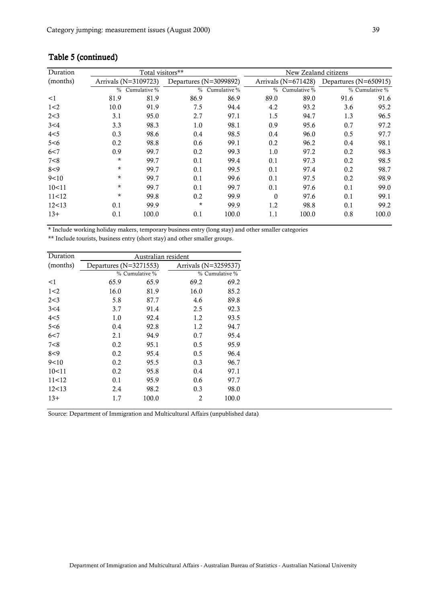| Duration |                      | Total visitors** |                        |              | New Zealand citizens |                       |                       |                |  |
|----------|----------------------|------------------|------------------------|--------------|----------------------|-----------------------|-----------------------|----------------|--|
| (months) | Arrivals (N=3109723) |                  | Departures (N=3099892) |              |                      | Arrivals $(N=671428)$ | Departures (N=650915) |                |  |
|          | $\frac{0}{0}$        | Cumulative %     | $\frac{0}{0}$          | Cumulative % | $\frac{0}{0}$        | Cumulative %          |                       | % Cumulative % |  |
| $\leq$ 1 | 81.9                 | 81.9             | 86.9                   | 86.9         | 89.0                 | 89.0                  | 91.6                  | 91.6           |  |
| 1<2      | 10.0                 | 91.9             | 7.5                    | 94.4         | 4.2                  | 93.2                  | 3.6                   | 95.2           |  |
| 2 < 3    | 3.1                  | 95.0             | 2.7                    | 97.1         | 1.5                  | 94.7                  | 1.3                   | 96.5           |  |
| 3<4      | 3.3                  | 98.3             | 1.0                    | 98.1         | 0.9                  | 95.6                  | 0.7                   | 97.2           |  |
| 4 < 5    | 0.3                  | 98.6             | 0.4                    | 98.5         | 0.4                  | 96.0                  | 0.5                   | 97.7           |  |
| 5<6      | 0.2                  | 98.8             | 0.6                    | 99.1         | 0.2                  | 96.2                  | 0.4                   | 98.1           |  |
| 6 < 7    | 0.9                  | 99.7             | 0.2                    | 99.3         | 1.0                  | 97.2                  | 0.2                   | 98.3           |  |
| 7<8      | $\star$              | 99.7             | 0.1                    | 99.4         | 0.1                  | 97.3                  | 0.2                   | 98.5           |  |
| $8 - 9$  | $\star$              | 99.7             | 0.1                    | 99.5         | 0.1                  | 97.4                  | 0.2                   | 98.7           |  |
| 9<10     | *                    | 99.7             | 0.1                    | 99.6         | 0.1                  | 97.5                  | 0.2                   | 98.9           |  |
| 10<11    | $\star$              | 99.7             | 0.1                    | 99.7         | 0.1                  | 97.6                  | 0.1                   | 99.0           |  |
| 11<12    | $\star$              | 99.8             | 0.2                    | 99.9         | $\Omega$             | 97.6                  | 0.1                   | 99.1           |  |
| 12<13    | 0.1                  | 99.9             | $\star$                | 99.9         | 1.2                  | 98.8                  | 0.1                   | 99.2           |  |
| $13+$    | 0.1                  | 100.0            | 0.1                    | 100.0        | 1.1                  | 100.0                 | 0.8                   | 100.0          |  |

# Table 5 (continued)

\* Include working holiday makers, temporary business entry (long stay) and other smaller categories

\*\* Include tourists, business entry (short stay) and other smaller groups.

| Duration | Australian resident        |                |                      |                |  |  |  |  |  |
|----------|----------------------------|----------------|----------------------|----------------|--|--|--|--|--|
| (months) | Departures ( $N=3271553$ ) |                | Arrivals (N=3259537) |                |  |  |  |  |  |
|          |                            | % Cumulative % |                      | % Cumulative % |  |  |  |  |  |
| <1       | 65.9                       | 65.9           | 69.2                 | 69.2           |  |  |  |  |  |
| 1<2      | 16.0                       | 81.9           | 16.0                 | 85.2           |  |  |  |  |  |
| 2<3      | 5.8                        | 87.7           | 4.6                  | 89.8           |  |  |  |  |  |
| 3<4      | 3.7                        | 91.4           | 2.5                  | 92.3           |  |  |  |  |  |
| 4< 5     | 1.0                        | 92.4           | 1.2                  | 93.5           |  |  |  |  |  |
| 5<6      | 0.4                        | 92.8           | 1.2                  | 94.7           |  |  |  |  |  |
| 6<7      | 2.1                        | 94.9           | 0.7                  | 95.4           |  |  |  |  |  |
| 7<8      | 0.2                        | 95.1           | 0.5                  | 95.9           |  |  |  |  |  |
| 8<9      | 0.2                        | 95.4           | 0.5                  | 96.4           |  |  |  |  |  |
| 9<10     | 0.2                        | 95.5           | 0.3                  | 96.7           |  |  |  |  |  |
| 10<11    | 0.2                        | 95.8           | 0.4                  | 97.1           |  |  |  |  |  |
| 11<12    | 0.1                        | 95.9           | 0.6                  | 97.7           |  |  |  |  |  |
| 12<13    | 2.4                        | 98.2           | 0.3                  | 98.0           |  |  |  |  |  |
| $13+$    | 1.7                        | 100.0          | 2                    | 100.0          |  |  |  |  |  |

Source: Department of Immigration and Multicultural Affairs (unpublished data)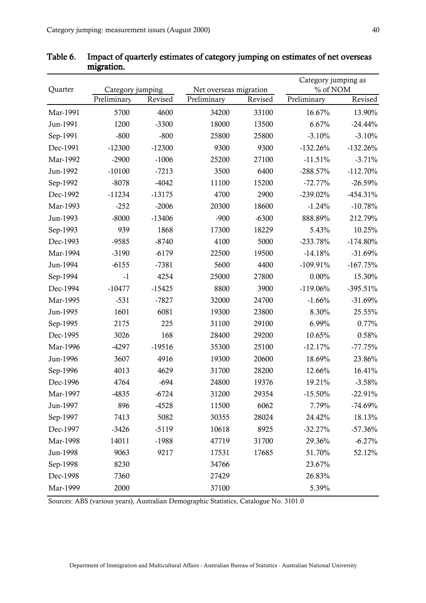| Quarter  | Category jumping |          | Net overseas migration |         |             | Category jumping as<br>% of NOM |  |  |
|----------|------------------|----------|------------------------|---------|-------------|---------------------------------|--|--|
|          | Preliminary      | Revised  | Preliminary            | Revised | Preliminary | Revised                         |  |  |
| Mar-1991 | 5700             | 4600     | 34200                  | 33100   | 16.67%      | 13.90%                          |  |  |
| Jun-1991 | 1200             | $-3300$  | 18000                  | 13500   | 6.67%       | $-24.44%$                       |  |  |
| Sep-1991 | $-800$           | $-800$   | 25800                  | 25800   | $-3.10%$    | $-3.10%$                        |  |  |
| Dec-1991 | $-12300$         | $-12300$ | 9300                   | 9300    | $-132.26%$  | $-132.26%$                      |  |  |
| Mar-1992 | $-2900$          | $-1006$  | 25200                  | 27100   | $-11.51%$   | $-3.71%$                        |  |  |
| Jun-1992 | $-10100$         | $-7213$  | 3500                   | 6400    | $-288.57%$  | $-112.70%$                      |  |  |
| Sep-1992 | $-8078$          | $-4042$  | 11100                  | 15200   | $-72.77%$   | $-26.59%$                       |  |  |
| Dec-1992 | $-11234$         | $-13175$ | 4700                   | 2900    | $-239.02\%$ | $-454.31%$                      |  |  |
| Mar-1993 | $-252$           | $-2006$  | 20300                  | 18600   | $-1.24%$    | $-10.78%$                       |  |  |
| Jun-1993 | $-8000$          | $-13406$ | $-900$                 | $-6300$ | 888.89%     | 212.79%                         |  |  |
| Sep-1993 | 939              | 1868     | 17300                  | 18229   | 5.43%       | 10.25%                          |  |  |
| Dec-1993 | $-9585$          | $-8740$  | 4100                   | 5000    | $-233.78%$  | $-174.80%$                      |  |  |
| Mar-1994 | $-3190$          | $-6179$  | 22500                  | 19500   | $-14.18%$   | $-31.69%$                       |  |  |
| Jun-1994 | $-6155$          | $-7381$  | 5600                   | 4400    | $-109.91%$  | $-167.75%$                      |  |  |
| Sep-1994 | $-1$             | 4254     | 25000                  | 27800   | $0.00\%$    | 15.30%                          |  |  |
| Dec-1994 | $-10477$         | $-15425$ | 8800                   | 3900    | $-119.06%$  | $-395.51%$                      |  |  |
| Mar-1995 | $-531$           | $-7827$  | 32000                  | 24700   | $-1.66%$    | $-31.69%$                       |  |  |
| Jun-1995 | 1601             | 6081     | 19300                  | 23800   | 8.30%       | 25.55%                          |  |  |
| Sep-1995 | 2175             | 225      | 31100                  | 29100   | 6.99%       | 0.77%                           |  |  |
| Dec-1995 | 3026             | 168      | 28400                  | 29200   | 10.65%      | 0.58%                           |  |  |
| Mar-1996 | $-4297$          | $-19516$ | 35300                  | 25100   | $-12.17%$   | $-77.75%$                       |  |  |
| Jun-1996 | 3607             | 4916     | 19300                  | 20600   | 18.69%      | 23.86%                          |  |  |
| Sep-1996 | 4013             | 4629     | 31700                  | 28200   | 12.66%      | 16.41%                          |  |  |
| Dec-1996 | 4764             | $-694$   | 24800                  | 19376   | 19.21%      | $-3.58%$                        |  |  |
| Mar-1997 | $-4835$          | $-6724$  | 31200                  | 29354   | $-15.50%$   | $-22.91%$                       |  |  |
| Jun-1997 | 896              | $-4528$  | 11500                  | 6062    | 7.79%       | $-74.69%$                       |  |  |
| Sep-1997 | 7413             | 5082     | 30355                  | 28024   | 24.42%      | 18.13%                          |  |  |
| Dec-1997 | $-3426$          | $-5119$  | 10618                  | 8925    | $-32.27%$   | $-57.36%$                       |  |  |
| Mar-1998 | 14011            | $-1988$  | 47719                  | 31700   | 29.36%      | $-6.27%$                        |  |  |
| Jun-1998 | 9063             | 9217     | 17531                  | 17685   | 51.70%      | 52.12%                          |  |  |
| Sep-1998 | 8230             |          | 34766                  |         | 23.67%      |                                 |  |  |
| Dec-1998 | 7360             |          | 27429                  |         | 26.83%      |                                 |  |  |
| Mar-1999 | 2000             |          | 37100                  |         | 5.39%       |                                 |  |  |

<span id="page-40-0"></span>Table 6. Impact of quarterly estimates of category jumping on estimates of net overseas migration.

Sources: ABS (various years), Australian Demographic Statistics, Catalogue No. 3101.0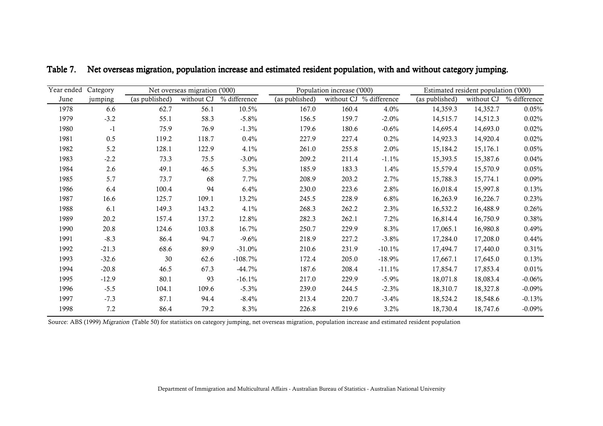| Category        |                | Net overseas migration ('000) |              |                | Population increase ('000) |                                     |                | Estimated resident population ('000) |              |
|-----------------|----------------|-------------------------------|--------------|----------------|----------------------------|-------------------------------------|----------------|--------------------------------------|--------------|
| June<br>jumping | (as published) | without CJ                    | % difference | (as published) |                            | without CJ $\frac{1}{2}$ difference | (as published) | without CJ                           | % difference |
| 6.6<br>1978     | 62.7           | 56.1                          | 10.5%        | 167.0          | 160.4                      | 4.0%                                | 14,359.3       | 14,352.7                             | 0.05%        |
| $-3.2$<br>1979  | 55.1           | 58.3                          | $-5.8\%$     | 156.5          | 159.7                      | $-2.0%$                             | 14,515.7       | 14,512.3                             | 0.02%        |
| 1980<br>$-1$    | 75.9           | 76.9                          | $-1.3%$      | 179.6          | 180.6                      | $-0.6%$                             | 14,695.4       | 14,693.0                             | 0.02%        |
| 0.5<br>1981     | 119.2          | 118.7                         | 0.4%         | 227.9          | 227.4                      | $0.2\%$                             | 14,923.3       | 14,920.4                             | 0.02%        |
| 5.2<br>1982     | 128.1          | 122.9                         | 4.1%         | 261.0          | 255.8                      | 2.0%                                | 15,184.2       | 15,176.1                             | 0.05%        |
| 1983<br>$-2.2$  | 73.3           | 75.5                          | $-3.0\%$     | 209.2          | 211.4                      | $-1.1\%$                            | 15,393.5       | 15,387.6                             | 0.04%        |
| 2.6<br>1984     | 49.1           | 46.5                          | 5.3%         | 185.9          | 183.3                      | 1.4%                                | 15,579.4       | 15,570.9                             | 0.05%        |
| 5.7<br>1985     | 73.7           | 68                            | $7.7\%$      | 208.9          | 203.2                      | 2.7%                                | 15,788.3       | 15,774.1                             | 0.09%        |
| 6.4<br>1986     | 100.4          | 94                            | 6.4%         | 230.0          | 223.6                      | 2.8%                                | 16,018.4       | 15,997.8                             | 0.13%        |
| 1987<br>16.6    | 125.7          | 109.1                         | 13.2%        | 245.5          | 228.9                      | 6.8%                                | 16,263.9       | 16,226.7                             | 0.23%        |
| 1988<br>6.1     | 149.3          | 143.2                         | 4.1%         | 268.3          | 262.2                      | 2.3%                                | 16,532.2       | 16,488.9                             | 0.26%        |
| 1989<br>20.2    | 157.4          | 137.2                         | 12.8%        | 282.3          | 262.1                      | 7.2%                                | 16,814.4       | 16,750.9                             | 0.38%        |
| 20.8<br>1990    | 124.6          | 103.8                         | 16.7%        | 250.7          | 229.9                      | 8.3%                                | 17,065.1       | 16,980.8                             | 0.49%        |
| $-8.3$<br>1991  | 86.4           | 94.7                          | $-9.6%$      | 218.9          | 227.2                      | $-3.8\%$                            | 17,284.0       | 17,208.0                             | 0.44%        |
| 1992<br>$-21.3$ | 68.6           | 89.9                          | $-31.0%$     | 210.6          | 231.9                      | $-10.1\%$                           | 17,494.7       | 17,440.0                             | 0.31%        |
| 1993<br>$-32.6$ | 30             | 62.6                          | $-108.7\%$   | 172.4          | 205.0                      | $-18.9%$                            | 17,667.1       | 17,645.0                             | 0.13%        |
| $-20.8$<br>1994 | 46.5           | 67.3                          | $-44.7%$     | 187.6          | 208.4                      | $-11.1%$                            | 17,854.7       | 17,853.4                             | 0.01%        |
| 1995<br>$-12.9$ | 80.1           | 93                            | $-16.1%$     | 217.0          | 229.9                      | $-5.9\%$                            | 18,071.8       | 18,083.4                             | $-0.06%$     |
| 1996<br>$-5.5$  | 104.1          | 109.6                         | $-5.3\%$     | 239.0          | 244.5                      | $-2.3%$                             | 18,310.7       | 18,327.8                             | $-0.09%$     |
| $-7.3$<br>1997  | 87.1           | 94.4                          | $-8.4\%$     | 213.4          | 220.7                      | $-3.4%$                             | 18,524.2       | 18,548.6                             | $-0.13%$     |
| 7.2<br>1998     | 86.4           | 79.2                          | 8.3%         | 226.8          | 219.6                      | 3.2%                                | 18,730.4       | 18,747.6                             | $-0.09%$     |

<span id="page-41-0"></span>Table 7. Net overseas migration, population increase and estimated resident population, with and without category jumping.

Source: ABS (1999) Migration (Table 50) for statistics on category jumping, net overseas migration, population increase and estimated resident population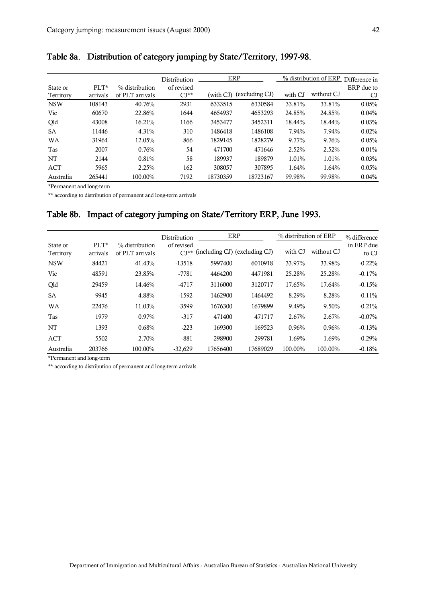|            |          |                 | Distribution |           | ERP            |          | % distribution of ERP | Difference in |
|------------|----------|-----------------|--------------|-----------|----------------|----------|-----------------------|---------------|
| State or   | $PLT^*$  | % distribution  | of revised   |           |                |          |                       | ERP due to    |
| Territory  | arrivals | of PLT arrivals | $CI**$       | (with CJ) | (excluding CJ) | with CJ  | without CJ            | CJ            |
| <b>NSW</b> | 108143   | 40.76%          | 2931         | 6333515   | 6330584        | 33.81%   | 33.81%                | 0.05%         |
| Vic        | 60670    | 22.86%          | 1644         | 4654937   | 4653293        | 24.85%   | 24.85%                | 0.04%         |
| Qld        | 43008    | 16.21%          | 1166         | 3453477   | 3452311        | 18.44%   | 18.44%                | 0.03%         |
| <b>SA</b>  | 11446    | $4.31\%$        | 310          | 1486418   | 1486108        | $7.94\%$ | 7.94%                 | 0.02%         |
| <b>WA</b>  | 31964    | 12.05%          | 866          | 1829145   | 1828279        | 9.77%    | 9.76%                 | 0.05%         |
| Tas        | 2007     | 0.76%           | 54           | 471700    | 471646         | 2.52%    | 2.52%                 | 0.01%         |
| NT         | 2144     | 0.81%           | 58           | 189937    | 189879         | 1.01%    | 1.01%                 | 0.03%         |
| ACT        | 5965     | 2.25%           | 162          | 308057    | 307895         | 1.64%    | 1.64%                 | 0.05%         |
| Australia  | 265441   | 100.00%         | 7192         | 18730359  | 18723167       | 99.98%   | 99.98%                | 0.04%         |

<span id="page-42-0"></span>Table 8a. Distribution of category jumping by State/Territory, 1997-98.

\*Permanent and long-term

\*\* according to distribution of permanent and long-term arrivals

# Table 8b. Impact of category jumping on State/Territory ERP, June 1993.

|                       |                     |                                   | Distribution         | ERP                           |          | % distribution of ERP |            | % difference        |
|-----------------------|---------------------|-----------------------------------|----------------------|-------------------------------|----------|-----------------------|------------|---------------------|
| State or<br>Territory | $PLT^*$<br>arrivals | % distribution<br>of PLT arrivals | of revised<br>$CI**$ | (including CJ) (excluding CJ) |          | with CJ               | without CJ | in ERP due<br>to CJ |
| <b>NSW</b>            | 84421               | 41.43%                            | $-13518$             | 5997400                       | 6010918  | 33.97%                | 33.98%     | $-0.22%$            |
| Vic                   | 48591               | 23.85%                            | $-7781$              | 4464200                       | 4471981  | 25.28%                | 25.28%     | $-0.17%$            |
| Qld                   | 29459               | 14.46%                            | $-4717$              | 3116000                       | 3120717  | 17.65%                | 17.64%     | $-0.15%$            |
| <b>SA</b>             | 9945                | 4.88%                             | $-1592$              | 1462900                       | 1464492  | 8.29%                 | 8.28%      | $-0.11%$            |
| <b>WA</b>             | 22476               | 11.03%                            | $-3599$              | 1676300                       | 1679899  | 9.49%                 | 9.50%      | $-0.21%$            |
| Tas                   | 1979                | 0.97%                             | $-317$               | 471400                        | 471717   | 2.67%                 | 2.67%      | $-0.07%$            |
| <b>NT</b>             | 1393                | 0.68%                             | $-223$               | 169300                        | 169523   | 0.96%                 | 0.96%      | $-0.13%$            |
| ACT                   | 5502                | 2.70%                             | $-881$               | 298900                        | 299781   | 1.69%                 | 1.69%      | $-0.29%$            |
| Australia             | 203766              | 100.00%                           | $-32,629$            | 17656400                      | 17689029 | 100.00%               | 100.00%    | $-0.18%$            |

\*Permanent and long-term

\*\* according to distribution of permanent and long-term arrivals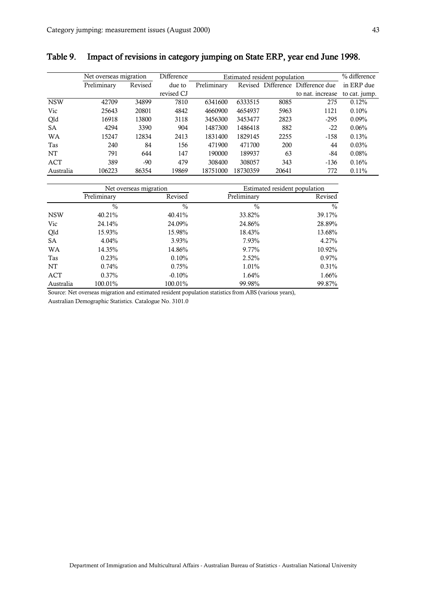| I<br>ш | ×                 |
|--------|-------------------|
|        | ٦<br>۰,<br>٠<br>٧ |

|            | Net overseas migration |         | <b>Difference</b> |             |          | Estimated resident population |                                   | % difference  |
|------------|------------------------|---------|-------------------|-------------|----------|-------------------------------|-----------------------------------|---------------|
|            | Preliminary            | Revised | due to            | Preliminary |          |                               | Revised Difference Difference due | in ERP due    |
|            |                        |         | revised CJ        |             |          |                               | to nat. increase                  | to cat. jump. |
| <b>NSW</b> | 42709                  | 34899   | 7810              | 6341600     | 6333515  | 8085                          | 275                               | 0.12%         |
| Vic        | 25643                  | 20801   | 4842              | 4660900     | 4654937  | 5963                          | 1121                              | 0.10%         |
| Qld        | 16918                  | 13800   | 3118              | 3456300     | 3453477  | 2823                          | $-295$                            | $0.09\%$      |
| <b>SA</b>  | 4294                   | 3390    | 904               | 1487300     | 1486418  | 882                           | $-22$                             | 0.06%         |
| <b>WA</b>  | 15247                  | 12834   | 2413              | 1831400     | 1829145  | 2255                          | $-158$                            | 0.13%         |
| Tas        | 240                    | 84      | 156               | 471900      | 471700   | 200                           | 44                                | 0.03%         |
| <b>NT</b>  | 791                    | 644     | 147               | 190000      | 189937   | 63                            | -84                               | 0.08%         |
| ACT        | 389                    | -90     | 479               | 308400      | 308057   | 343                           | $-136$                            | 0.16%         |
| Australia  | 106223                 | 86354   | 19869             | 18751000    | 18730359 | 20641                         | 772                               | $0.11\%$      |

# <span id="page-43-0"></span>Table 9. Impact of revisions in category jumping on State ERP, year end June 1998.

|            | Net overseas migration |               |               | Estimated resident population |  |
|------------|------------------------|---------------|---------------|-------------------------------|--|
|            | Preliminary            | Revised       | Preliminary   | Revised                       |  |
|            | $\frac{0}{0}$          | $\frac{0}{0}$ | $\frac{0}{0}$ | $\frac{0}{0}$                 |  |
| <b>NSW</b> | 40.21%                 | 40.41%        | 33.82%        | 39.17%                        |  |
| Vic        | 24.14%                 | 24.09%        | 24.86%        | 28.89%                        |  |
| Qld        | 15.93%                 | 15.98%        | 18.43%        | 13.68%                        |  |
| <b>SA</b>  | $4.04\%$               | 3.93%         | 7.93%         | 4.27%                         |  |
| <b>WA</b>  | 14.35%                 | 14.86%        | 9.77%         | 10.92%                        |  |
| Tas        | 0.23%                  | 0.10%         | 2.52%         | 0.97%                         |  |
| NT         | 0.74%                  | 0.75%         | 1.01%         | 0.31%                         |  |
| ACT        | $0.37\%$               | $-0.10%$      | 1.64%         | 1.66%                         |  |
| Australia  | 100.01%                | 100.01%       | 99.98%        | 99.87%                        |  |

Source: Net overseas migration and estimated resident population statistics from ABS (various years),

Australian Demographic Statistics. Catalogue No. 3101.0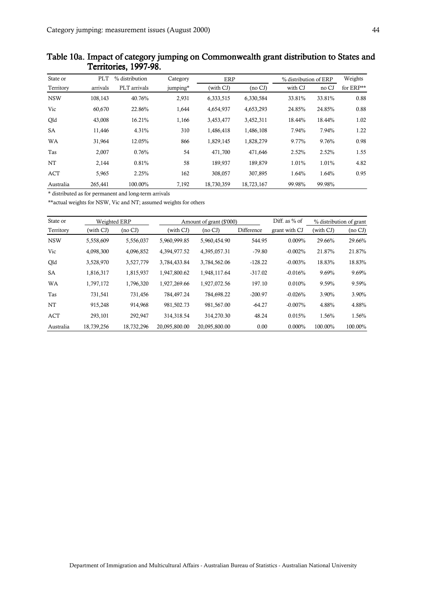| State or   | <b>PLT</b> | % distribution | Category | ERP        |            | % distribution of ERP |        | Weights   |
|------------|------------|----------------|----------|------------|------------|-----------------------|--------|-----------|
| Territory  | arrivals   | PLT arrivals   | jumping* | (with CJ)  | (no CJ)    | with CJ               | no CJ  | for ERP** |
| <b>NSW</b> | 108,143    | 40.76%         | 2,931    | 6,333,515  | 6,330,584  | 33.81%                | 33.81% | 0.88      |
| Vic        | 60.670     | 22.86%         | 1,644    | 4,654,937  | 4,653,293  | 24.85%                | 24.85% | 0.88      |
| Qld        | 43,008     | 16.21%         | 1,166    | 3,453,477  | 3,452,311  | 18.44%                | 18.44% | 1.02      |
| SA         | 11,446     | 4.31%          | 310      | 1,486,418  | 1,486,108  | 7.94%                 | 7.94%  | 1.22      |
| <b>WA</b>  | 31.964     | 12.05%         | 866      | 1,829,145  | 1,828,279  | 9.77%                 | 9.76%  | 0.98      |
| Tas        | 2,007      | 0.76%          | 54       | 471,700    | 471,646    | 2.52%                 | 2.52%  | 1.55      |
| NT         | 2,144      | 0.81%          | 58       | 189,937    | 189,879    | 1.01%                 | 1.01%  | 4.82      |
| <b>ACT</b> | 5,965      | 2.25%          | 162      | 308,057    | 307.895    | 1.64%                 | 1.64%  | 0.95      |
| Australia  | 265.441    | 100.00%        | 7.192    | 18.730.359 | 18,723,167 | 99.98%                | 99.98% |           |

## <span id="page-44-0"></span>Table 10a. Impact of category jumping on Commonwealth grant distribution to States and Territories, 1997-98.

\* distributed as for permanent and long-term arrivals

\*\*actual weights for NSW, Vic and NT; assumed weights for others

| State or   | Weighted ERP |                     |               | Amount of grant (\$'000) |            | Diff. as $%$ of |           | % distribution of grant |
|------------|--------------|---------------------|---------------|--------------------------|------------|-----------------|-----------|-------------------------|
| Territory  | (with CJ)    | (no <sub>CI</sub> ) | (with CJ)     | $(no\ CJ)$               | Difference | grant with CJ   | (with CJ) | $(no\;CJ)$              |
| <b>NSW</b> | 5,558,609    | 5,556,037           | 5,960,999.85  | 5,960,454.90             | 544.95     | 0.009%          | 29.66%    | 29.66%                  |
| Vic        | 4,098,300    | 4,096,852           | 4,394,977.52  | 4,395,057.31             | $-79.80$   | $-0.002%$       | 21.87%    | 21.87%                  |
| Qld        | 3,528,970    | 3,527,779           | 3,784,433.84  | 3,784,562.06             | $-128.22$  | $-0.003%$       | 18.83%    | 18.83%                  |
| <b>SA</b>  | 1,816,317    | 1,815,937           | 1.947.800.62  | 1,948,117.64             | $-317.02$  | $-0.016%$       | 9.69%     | 9.69%                   |
| <b>WA</b>  | 1,797,172    | 1.796.320           | 1.927.269.66  | 1,927,072.56             | 197.10     | 0.010%          | 9.59%     | 9.59%                   |
| Tas        | 731,541      | 731.456             | 784.497.24    | 784.698.22               | $-200.97$  | $-0.026%$       | 3.90%     | 3.90%                   |
| NT         | 915.248      | 914.968             | 981.502.73    | 981.567.00               | $-64.27$   | $-0.007%$       | 4.88%     | 4.88%                   |
| ACT        | 293.101      | 292.947             | 314.318.54    | 314.270.30               | 48.24      | 0.015%          | 1.56%     | 1.56%                   |
| Australia  | 18,739,256   | 18,732,296          | 20.095.800.00 | 20.095.800.00            | 0.00       | $0.000\%$       | 100.00%   | 100.00%                 |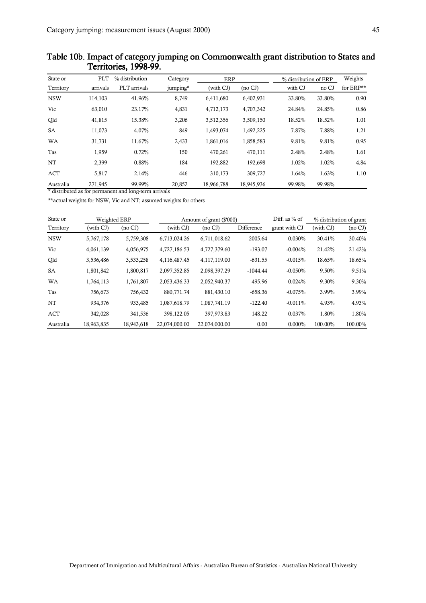| State or   | <b>PLT</b> | % distribution | Category | ERP        |            | % distribution of ERP |        | Weights   |
|------------|------------|----------------|----------|------------|------------|-----------------------|--------|-----------|
| Territory  | arrivals   | PLT arrivals   | jumping* | (with CJ)  | (no CJ)    | with CJ               | no CJ  | for ERP** |
| <b>NSW</b> | 114,103    | 41.96%         | 8,749    | 6,411,680  | 6,402,931  | 33.80%                | 33.80% | 0.90      |
| Vic        | 63,010     | 23.17%         | 4,831    | 4,712,173  | 4,707,342  | 24.84%                | 24.85% | 0.86      |
| Qld        | 41,815     | 15.38%         | 3,206    | 3,512,356  | 3,509,150  | 18.52%                | 18.52% | 1.01      |
| SA         | 11,073     | 4.07%          | 849      | 1,493,074  | 1,492,225  | 7.87%                 | 7.88%  | 1.21      |
| <b>WA</b>  | 31,731     | 11.67%         | 2,433    | 1,861,016  | 1,858,583  | 9.81%                 | 9.81%  | 0.95      |
| Tas        | 1.959      | 0.72%          | 150      | 470,261    | 470,111    | 2.48%                 | 2.48%  | 1.61      |
| NT         | 2,399      | 0.88%          | 184      | 192,882    | 192,698    | 1.02%                 | 1.02%  | 4.84      |
| <b>ACT</b> | 5,817      | 2.14%          | 446      | 310,173    | 309,727    | 1.64%                 | 1.63%  | 1.10      |
| Australia  | 271.945    | 99.99%         | 20.852   | 18.966.788 | 18,945,936 | 99.98%                | 99.98% |           |

#### <span id="page-45-0"></span>Table 10b. Impact of category jumping on Commonwealth grant distribution to States and Territories, 1998-99.

\* distributed as for permanent and long-term arrivals

\*\*actual weights for NSW, Vic and NT; assumed weights for others

| State or   | Weighted ERP |            |               | Amount of grant (\$'000) |            |               |           | % distribution of grant |
|------------|--------------|------------|---------------|--------------------------|------------|---------------|-----------|-------------------------|
| Territory  | (with CJ)    | $(no\;CI)$ | (with CJ)     | $(no \, CJ)$             | Difference | grant with CJ | (with CJ) | $(no\;CI)$              |
| <b>NSW</b> | 5,767,178    | 5,759,308  | 6,713,024.26  | 6,711,018.62             | 2005.64    | 0.030%        | 30.41%    | 30.40%                  |
| Vic        | 4,061,139    | 4,056,975  | 4,727,186.53  | 4,727,379.60             | $-193.07$  | $-0.004%$     | 21.42%    | 21.42%                  |
| Qld        | 3,536,486    | 3,533,258  | 4,116,487.45  | 4,117,119.00             | $-631.55$  | $-0.015%$     | 18.65%    | 18.65%                  |
| <b>SA</b>  | 1,801,842    | 1,800,817  | 2,097,352.85  | 2,098,397.29             | $-1044.44$ | $-0.050%$     | 9.50%     | 9.51%                   |
| <b>WA</b>  | 1,764,113    | 1.761.807  | 2.053.436.33  | 2.052.940.37             | 495.96     | 0.024%        | 9.30%     | 9.30%                   |
| Tas        | 756,673      | 756,432    | 880,771.74    | 881,430.10               | $-658.36$  | $-0.075%$     | 3.99%     | 3.99%                   |
| NT         | 934.376      | 933.485    | 1.087.618.79  | 1,087,741.19             | $-122.40$  | $-0.011%$     | 4.93%     | 4.93%                   |
| ACT        | 342,028      | 341,536    | 398,122.05    | 397.973.83               | 148.22     | 0.037%        | 1.80%     | 1.80%                   |
| Australia  | 18,963,835   | 18,943,618 | 22.074.000.00 | 22.074.000.00            | 0.00       | $0.000\%$     | 100.00%   | 100.00%                 |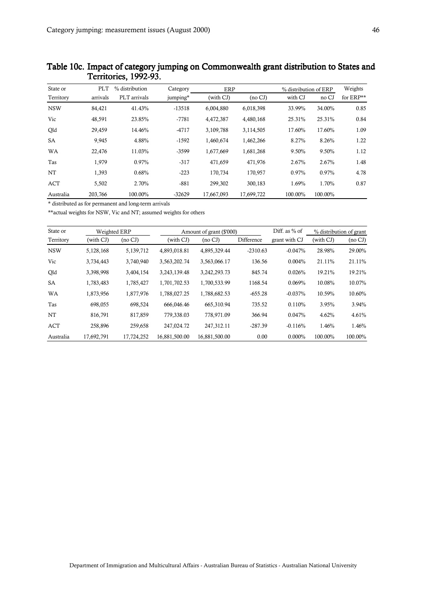| State or   | PLT      | % distribution | Category | ERP        |            | % distribution of ERP |         | Weights   |
|------------|----------|----------------|----------|------------|------------|-----------------------|---------|-----------|
| Territory  | arrivals | PLT arrivals   | jumping* | (with CJ)  | (no CJ)    | with CJ               | no CJ   | for ERP** |
| <b>NSW</b> | 84,421   | 41.43%         | $-13518$ | 6,004,880  | 6,018,398  | 33.99%                | 34.00%  | 0.85      |
| Vic        | 48,591   | 23.85%         | $-7781$  | 4,472,387  | 4,480,168  | 25.31%                | 25.31%  | 0.84      |
| Qld        | 29,459   | 14.46%         | $-4717$  | 3,109,788  | 3,114,505  | 17.60%                | 17.60%  | 1.09      |
| SA         | 9,945    | 4.88%          | $-1592$  | 1,460,674  | 1,462,266  | 8.27%                 | 8.26%   | 1.22      |
| <b>WA</b>  | 22,476   | 11.03%         | $-3599$  | 1,677,669  | 1,681,268  | 9.50%                 | 9.50%   | 1.12      |
| Tas        | 1,979    | 0.97%          | $-317$   | 471,659    | 471,976    | 2.67%                 | 2.67%   | 1.48      |
| NT         | 1,393    | 0.68%          | $-223$   | 170,734    | 170,957    | 0.97%                 | 0.97%   | 4.78      |
| <b>ACT</b> | 5,502    | 2.70%          | $-881$   | 299,302    | 300,183    | 1.69%                 | 1.70%   | 0.87      |
| Australia  | 203,766  | 100.00%        | $-32629$ | 17,667,093 | 17,699,722 | 100.00%               | 100.00% |           |

#### <span id="page-46-0"></span>Table 10c. Impact of category jumping on Commonwealth grant distribution to States and 10c. Impact of category jumping on Commonwealth grant distribution to States and Territories, 1992-93.

\* distributed as for permanent and long-term arrivals

\*\*actual weights for NSW, Vic and NT; assumed weights for others

| State or   | Weighted ERP |            |               | Amount of grant (\$'000) | Diff. as $%$ of | % distribution of grant |           |            |
|------------|--------------|------------|---------------|--------------------------|-----------------|-------------------------|-----------|------------|
| Territory  | (with CJ)    | (no CJ)    | (with CJ)     | $(no \text{ } CJ)$       | Difference      | grant with CJ           | (with CJ) | $(no\ CJ)$ |
| <b>NSW</b> | 5,128,168    | 5,139,712  | 4.893.018.81  | 4.895.329.44             | $-2310.63$      | $-0.047%$               | 28.98%    | 29.00%     |
| Vic        | 3,734,443    | 3,740,940  | 3,563,202.74  | 3,563,066.17             | 136.56          | 0.004%                  | 21.11%    | 21.11%     |
| Qld        | 3,398,998    | 3,404,154  | 3,243,139.48  | 3,242,293.73             | 845.74          | 0.026%                  | 19.21%    | 19.21%     |
| <b>SA</b>  | 1,783,483    | 1,785,427  | 1,701,702.53  | 1,700,533.99             | 1168.54         | 0.069%                  | 10.08%    | 10.07%     |
| <b>WA</b>  | 1,873,956    | 1,877,976  | 1,788,027.25  | 1,788,682.53             | $-655.28$       | $-0.037%$               | 10.59%    | 10.60%     |
| Tas        | 698,055      | 698,524    | 666.046.46    | 665,310.94               | 735.52          | 0.110%                  | 3.95%     | $3.94\%$   |
| NT         | 816,791      | 817,859    | 779.338.03    | 778.971.09               | 366.94          | 0.047%                  | 4.62%     | 4.61%      |
| <b>ACT</b> | 258,896      | 259,658    | 247.024.72    | 247.312.11               | $-287.39$       | $-0.116%$               | 1.46%     | 1.46%      |
| Australia  | 17,692,791   | 17,724,252 | 16,881,500.00 | 16,881,500.00            | 0.00            | $0.000\%$               | 100.00%   | 100.00%    |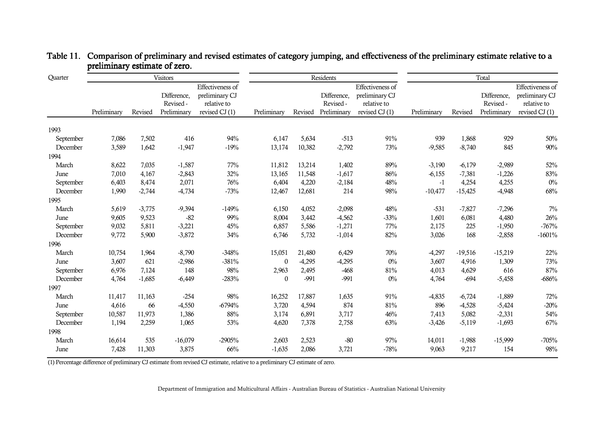| Quarter   | Visitors    |          |                                         | Residents                                                           |                  |          |                                         | Total                                                                |             |           |                                         |                                                                      |
|-----------|-------------|----------|-----------------------------------------|---------------------------------------------------------------------|------------------|----------|-----------------------------------------|----------------------------------------------------------------------|-------------|-----------|-----------------------------------------|----------------------------------------------------------------------|
|           | Preliminary | Revised  | Difference,<br>Revised -<br>Preliminary | Effectiveness of<br>preliminary CJ<br>relative to<br>revised CJ (1) | Preliminary      | Revised  | Difference,<br>Revised -<br>Preliminary | Effectiveness of<br>preliminary CJ<br>relative to<br>revised $CI(1)$ | Preliminary | Revised   | Difference,<br>Revised -<br>Preliminary | Effectiveness of<br>preliminary CJ<br>relative to<br>revised $CI(1)$ |
| 1993      |             |          |                                         |                                                                     |                  |          |                                         |                                                                      |             |           |                                         |                                                                      |
| September | 7,086       | 7,502    | 416                                     | 94%                                                                 | 6,147            | 5,634    | $-513$                                  | 91%                                                                  | 939         | 1,868     | 929                                     | 50%                                                                  |
| December  | 3,589       | 1,642    | $-1,947$                                | $-19%$                                                              | 13,174           | 10,382   | $-2,792$                                | 73%                                                                  | $-9,585$    | $-8,740$  | 845                                     | 90%                                                                  |
| 1994      |             |          |                                         |                                                                     |                  |          |                                         |                                                                      |             |           |                                         |                                                                      |
| March     | 8,622       | 7,035    | $-1,587$                                | 77%                                                                 | 11,812           | 13,214   | 1,402                                   | 89%                                                                  | $-3,190$    | $-6,179$  | $-2,989$                                | 52%                                                                  |
| June      | 7,010       | 4,167    | $-2,843$                                | 32%                                                                 | 13,165           | 11,548   | $-1,617$                                | 86%                                                                  | $-6,155$    | $-7,381$  | $-1,226$                                | 83%                                                                  |
| September | 6,403       | 8,474    | 2,071                                   | 76%                                                                 | 6,404            | 4,220    | $-2,184$                                | 48%                                                                  | $-1$        | 4,254     | 4,255                                   | $0\%$                                                                |
| December  | 1,990       | $-2,744$ | $-4,734$                                | $-73%$                                                              | 12,467           | 12,681   | 214                                     | 98%                                                                  | $-10,477$   | $-15,425$ | $-4,948$                                | 68%                                                                  |
| 1995      |             |          |                                         |                                                                     |                  |          |                                         |                                                                      |             |           |                                         |                                                                      |
| March     | 5,619       | $-3,775$ | $-9,394$                                | $-149%$                                                             | 6,150            | 4,052    | $-2,098$                                | 48%                                                                  | $-531$      | $-7,827$  | $-7,296$                                | $7\%$                                                                |
| June      | 9,605       | 9,523    | $-82$                                   | 99%                                                                 | 8,004            | 3,442    | $-4,562$                                | $-33%$                                                               | 1,601       | 6,081     | 4,480                                   | 26%                                                                  |
| September | 9,032       | 5,811    | $-3,221$                                | 45%                                                                 | 6,857            | 5,586    | $-1,271$                                | 77%                                                                  | 2,175       | 225       | $-1,950$                                | $-767%$                                                              |
| December  | 9,772       | 5,900    | $-3,872$                                | 34%                                                                 | 6,746            | 5,732    | $-1,014$                                | 82%                                                                  | 3,026       | 168       | $-2,858$                                | $-1601%$                                                             |
| 1996      |             |          |                                         |                                                                     |                  |          |                                         |                                                                      |             |           |                                         |                                                                      |
| March     | 10,754      | 1,964    | $-8,790$                                | $-348%$                                                             | 15,051           | 21,480   | 6,429                                   | 70%                                                                  | $-4,297$    | $-19,516$ | $-15,219$                               | 22%                                                                  |
| June      | 3,607       | 621      | $-2,986$                                | $-381%$                                                             | $\boldsymbol{0}$ | $-4,295$ | $-4,295$                                | $0\%$                                                                | 3,607       | 4,916     | 1,309                                   | 73%                                                                  |
| September | 6,976       | 7,124    | 148                                     | 98%                                                                 | 2,963            | 2,495    | $-468$                                  | 81%                                                                  | 4,013       | 4,629     | 616                                     | 87%                                                                  |
| December  | 4,764       | $-1,685$ | $-6,449$                                | $-283%$                                                             | $\boldsymbol{0}$ | $-991$   | $-991$                                  | $0\%$                                                                | 4,764       | $-694$    | $-5,458$                                | $-686%$                                                              |
| 1997      |             |          |                                         |                                                                     |                  |          |                                         |                                                                      |             |           |                                         |                                                                      |
| March     | 11,417      | 11,163   | $-254$                                  | 98%                                                                 | 16,252           | 17,887   | 1,635                                   | 91%                                                                  | $-4,835$    | $-6,724$  | $-1,889$                                | 72%                                                                  |
| June      | 4,616       | 66       | $-4,550$                                | $-6794%$                                                            | 3,720            | 4,594    | 874                                     | 81%                                                                  | 896         | $-4,528$  | $-5,424$                                | $-20%$                                                               |
| September | 10,587      | 11,973   | 1,386                                   | 88%                                                                 | 3,174            | 6,891    | 3,717                                   | 46%                                                                  | 7,413       | 5,082     | $-2,331$                                | 54%                                                                  |
| December  | 1,194       | 2,259    | 1,065                                   | 53%                                                                 | 4,620            | 7,378    | 2,758                                   | 63%                                                                  | $-3,426$    | $-5,119$  | $-1,693$                                | 67%                                                                  |
| 1998      |             |          |                                         |                                                                     |                  |          |                                         |                                                                      |             |           |                                         |                                                                      |
| March     | 16,614      | 535      | $-16,079$                               | $-2905%$                                                            | 2,603            | 2,523    | $-80$                                   | 97%                                                                  | 14,011      | $-1,988$  | $-15,999$                               | $-705%$                                                              |
| June      | 7,428       | 11,303   | 3,875                                   | 66%                                                                 | $-1,635$         | 2,086    | 3,721                                   | $-78%$                                                               | 9,063       | 9,217     | 154                                     | 98%                                                                  |

<span id="page-47-0"></span>

| Table 11. Comparison of preliminary and revised estimates of category jumping, and effectiveness of the preliminary estimate relative to a |
|--------------------------------------------------------------------------------------------------------------------------------------------|
| preliminary estimate of zero.                                                                                                              |

(1) Percentage difference of preliminary CJ estimate from revised CJ estimate, relative to a preliminary CJ estimate of zero.

Department of Immigration and Multicultural Affairs - Australian Bureau of Statistics - Australian National University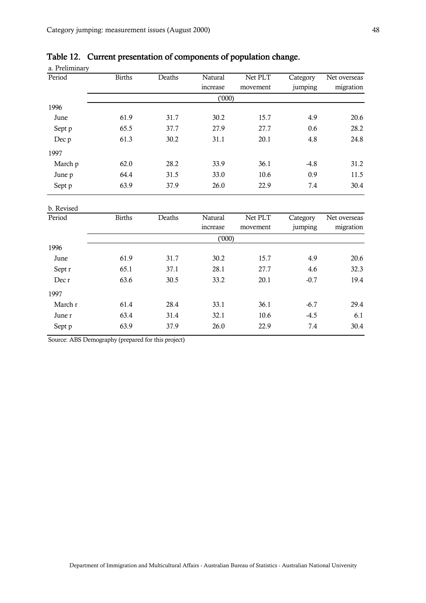| a. Preliminary |               |        |                            |                     |                     |                           |
|----------------|---------------|--------|----------------------------|---------------------|---------------------|---------------------------|
| Period         | <b>Births</b> | Deaths | <b>Natural</b><br>increase | Net PLT<br>movement | Category<br>jumping | Net overseas<br>migration |
|                |               |        | (000)                      |                     |                     |                           |
| 1996           |               |        |                            |                     |                     |                           |
| June           | 61.9          | 31.7   | 30.2                       | 15.7                | 4.9                 | 20.6                      |
| Sept p         | 65.5          | 37.7   | 27.9                       | 27.7                | 0.6                 | 28.2                      |
| Dec p          | 61.3          | 30.2   | 31.1                       | 20.1                | 4.8                 | 24.8                      |
| 1997           |               |        |                            |                     |                     |                           |
| March p        | 62.0          | 28.2   | 33.9                       | 36.1                | $-4.8$              | 31.2                      |
| June p         | 64.4          | 31.5   | 33.0                       | 10.6                | 0.9                 | 11.5                      |
| Sept p         | 63.9          | 37.9   | 26.0                       | 22.9                | 7.4                 | 30.4                      |

# <span id="page-48-0"></span>Table 12. Current presentation of components of population change.

| b. Revised |               |        |          |          |          |              |
|------------|---------------|--------|----------|----------|----------|--------------|
| Period     | <b>Births</b> | Deaths | Natural  | Net PLT  | Category | Net overseas |
|            |               |        | increase | movement | jumping  | migration    |
|            |               |        | ('000)   |          |          |              |
| 1996       |               |        |          |          |          |              |
| June       | 61.9          | 31.7   | 30.2     | 15.7     | 4.9      | 20.6         |
| Sept r     | 65.1          | 37.1   | 28.1     | 27.7     | 4.6      | 32.3         |
| Dec r      | 63.6          | 30.5   | 33.2     | 20.1     | $-0.7$   | 19.4         |
| 1997       |               |        |          |          |          |              |
| March r    | 61.4          | 28.4   | 33.1     | 36.1     | $-6.7$   | 29.4         |
| June r     | 63.4          | 31.4   | 32.1     | 10.6     | $-4.5$   | 6.1          |
| Sept p     | 63.9          | 37.9   | 26.0     | 22.9     | 7.4      | 30.4         |
|            |               |        |          |          |          |              |

Source: ABS Demography (prepared for this project)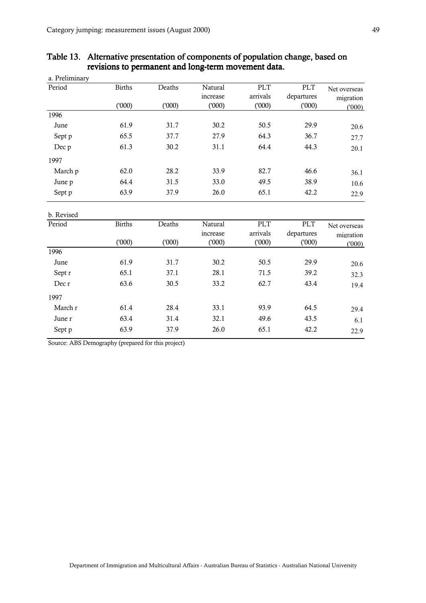| a. Preliminary |               |        |          |            |            |              |
|----------------|---------------|--------|----------|------------|------------|--------------|
| Period         | <b>Births</b> | Deaths | Natural  | <b>PLT</b> | <b>PLT</b> | Net overseas |
|                |               |        | increase | arrivals   | departures | migration    |
|                | (000)         | (000)  | (000)    | (000)      | (000)      | (1000)       |
| 1996           |               |        |          |            |            |              |
| June           | 61.9          | 31.7   | 30.2     | 50.5       | 29.9       | 20.6         |
| Sept p         | 65.5          | 37.7   | 27.9     | 64.3       | 36.7       | 27.7         |
| Dec p          | 61.3          | 30.2   | 31.1     | 64.4       | 44.3       | 20.1         |
| 1997           |               |        |          |            |            |              |
| March p        | 62.0          | 28.2   | 33.9     | 82.7       | 46.6       | 36.1         |
| June p         | 64.4          | 31.5   | 33.0     | 49.5       | 38.9       | 10.6         |
| Sept p         | 63.9          | 37.9   | 26.0     | 65.1       | 42.2       | 22.9         |
| b. Revised     |               |        |          |            |            |              |
| Period         | <b>Births</b> | Deaths | Natural  | <b>PLT</b> | PLT        | Net overseas |
|                |               |        | increase | arrivals   | departures | migration    |
|                | (000)         | (000)  | (1000)   | (000)      | (1000)     | (1000)       |
| 1996           |               |        |          |            |            |              |
| June           | 61.9          | 31.7   | 30.2     | 50.5       | 29.9       | 20.6         |
| Sept r         | 65.1          | 37.1   | 28.1     | 71.5       | 39.2       | 32.3         |
| Dec r          | 63.6          | 30.5   | 33.2     | 62.7       | 43.4       | 19.4         |
| 1997           |               |        |          |            |            |              |
| March r        | 61.4          | 28.4   | 33.1     | 93.9       | 64.5       | 29.4         |
| June r         | 63.4          | 31.4   | 32.1     | 49.6       | 43.5       | 6.1          |

Sept p 63.9 37.9 26.0 65.1 42.2 22.9

# <span id="page-49-0"></span>Table 13. Alternative presentation of components of population change, based on revisions to permanent and long-term movement data.

Source: ABS Demography (prepared for this project)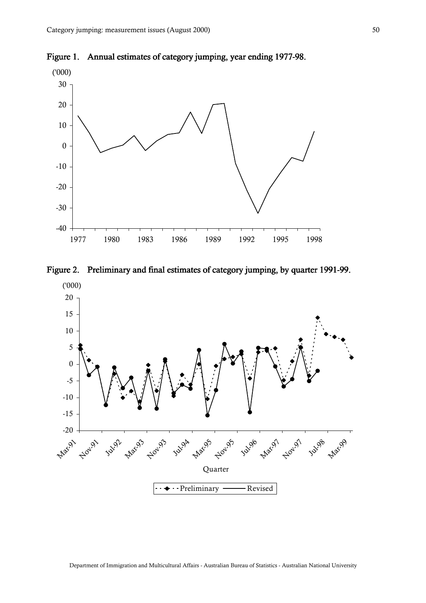

<span id="page-50-0"></span>Figure 1. Annual estimates of category jumping, year ending 1977-98.



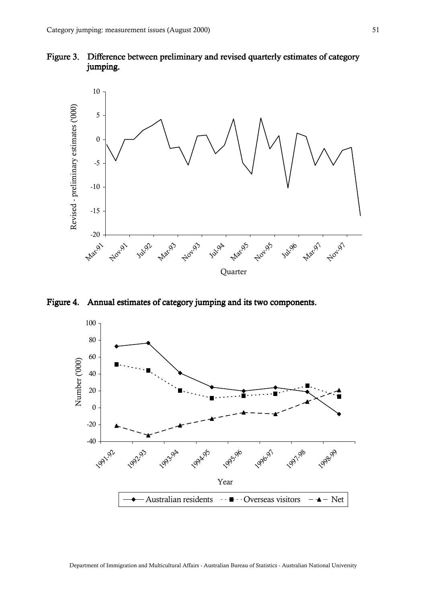<span id="page-51-0"></span>



Figure 4. Annual estimates of category jumping and its two components.

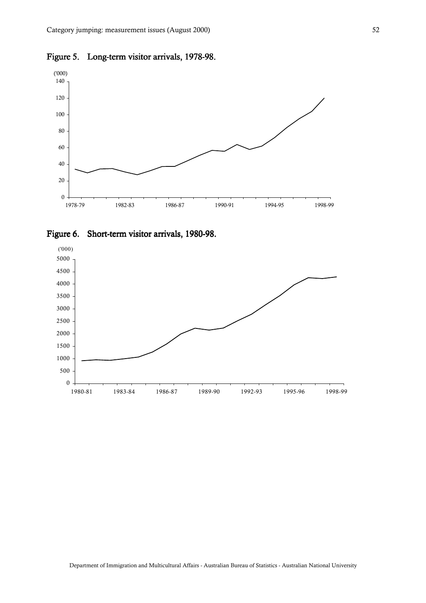

<span id="page-52-0"></span>